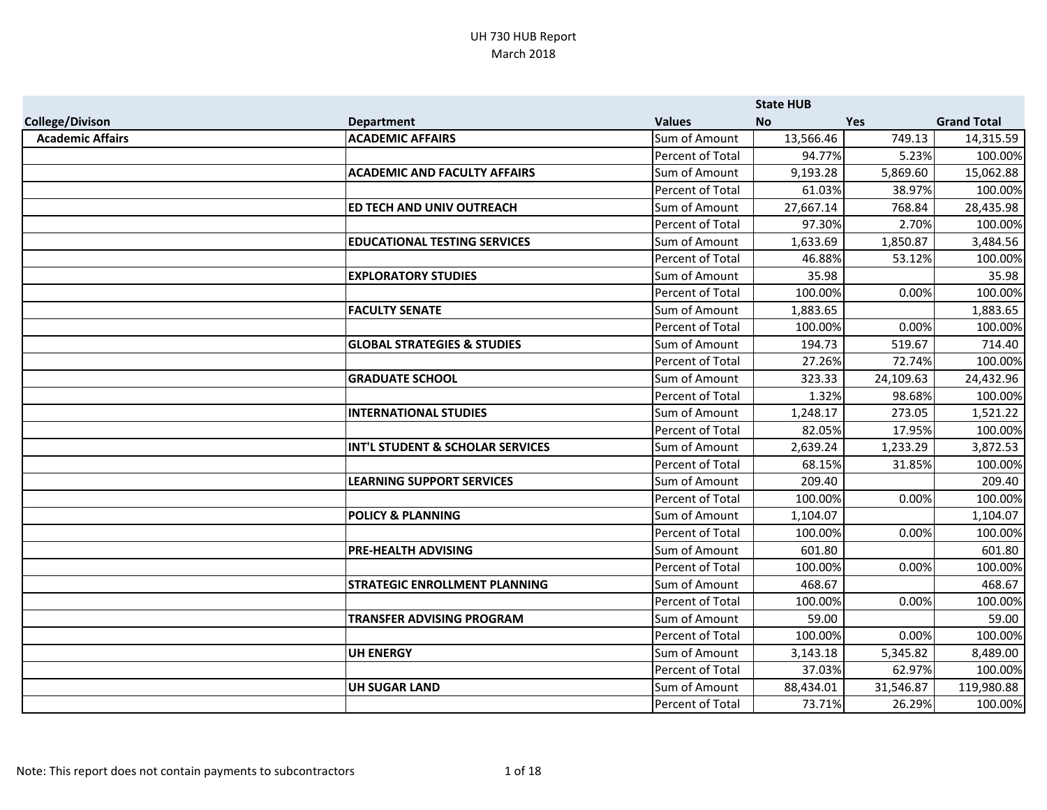|                         |                                        |                         | <b>State HUB</b> |            |                    |
|-------------------------|----------------------------------------|-------------------------|------------------|------------|--------------------|
| <b>College/Divison</b>  | <b>Department</b>                      | <b>Values</b>           | <b>No</b>        | <b>Yes</b> | <b>Grand Total</b> |
| <b>Academic Affairs</b> | <b>ACADEMIC AFFAIRS</b>                | Sum of Amount           | 13,566.46        | 749.13     | 14,315.59          |
|                         |                                        | Percent of Total        | 94.77%           | 5.23%      | 100.00%            |
|                         | <b>ACADEMIC AND FACULTY AFFAIRS</b>    | Sum of Amount           | 9,193.28         | 5,869.60   | 15,062.88          |
|                         |                                        | Percent of Total        | 61.03%           | 38.97%     | 100.00%            |
|                         | ED TECH AND UNIV OUTREACH              | Sum of Amount           | 27,667.14        | 768.84     | 28,435.98          |
|                         |                                        | Percent of Total        | 97.30%           | 2.70%      | 100.00%            |
|                         | <b>EDUCATIONAL TESTING SERVICES</b>    | Sum of Amount           | 1,633.69         | 1,850.87   | 3,484.56           |
|                         |                                        | Percent of Total        | 46.88%           | 53.12%     | 100.00%            |
|                         | <b>EXPLORATORY STUDIES</b>             | Sum of Amount           | 35.98            |            | 35.98              |
|                         |                                        | Percent of Total        | 100.00%          | 0.00%      | 100.00%            |
|                         | <b>FACULTY SENATE</b>                  | Sum of Amount           | 1,883.65         |            | 1,883.65           |
|                         |                                        | <b>Percent of Total</b> | 100.00%          | 0.00%      | 100.00%            |
|                         | <b>GLOBAL STRATEGIES &amp; STUDIES</b> | Sum of Amount           | 194.73           | 519.67     | 714.40             |
|                         |                                        | Percent of Total        | 27.26%           | 72.74%     | 100.00%            |
|                         | <b>GRADUATE SCHOOL</b>                 | Sum of Amount           | 323.33           | 24,109.63  | 24,432.96          |
|                         |                                        | Percent of Total        | 1.32%            | 98.68%     | 100.00%            |
|                         | <b>INTERNATIONAL STUDIES</b>           | Sum of Amount           | 1,248.17         | 273.05     | 1,521.22           |
|                         |                                        | <b>Percent of Total</b> | 82.05%           | 17.95%     | 100.00%            |
|                         | INT'L STUDENT & SCHOLAR SERVICES       | Sum of Amount           | 2,639.24         | 1,233.29   | 3,872.53           |
|                         |                                        | Percent of Total        | 68.15%           | 31.85%     | 100.00%            |
|                         | <b>LEARNING SUPPORT SERVICES</b>       | Sum of Amount           | 209.40           |            | 209.40             |
|                         |                                        | Percent of Total        | 100.00%          | 0.00%      | 100.00%            |
|                         | <b>POLICY &amp; PLANNING</b>           | Sum of Amount           | 1,104.07         |            | 1,104.07           |
|                         |                                        | <b>Percent of Total</b> | 100.00%          | 0.00%      | 100.00%            |
|                         | <b>PRE-HEALTH ADVISING</b>             | Sum of Amount           | 601.80           |            | 601.80             |
|                         |                                        | Percent of Total        | 100.00%          | 0.00%      | 100.00%            |
|                         | <b>STRATEGIC ENROLLMENT PLANNING</b>   | Sum of Amount           | 468.67           |            | 468.67             |
|                         |                                        | Percent of Total        | 100.00%          | 0.00%      | 100.00%            |
|                         | TRANSFER ADVISING PROGRAM              | Sum of Amount           | 59.00            |            | 59.00              |
|                         |                                        | <b>Percent of Total</b> | 100.00%          | 0.00%      | 100.00%            |
|                         | <b>UH ENERGY</b>                       | Sum of Amount           | 3,143.18         | 5,345.82   | 8,489.00           |
|                         |                                        | Percent of Total        | 37.03%           | 62.97%     | 100.00%            |
|                         | <b>UH SUGAR LAND</b>                   | Sum of Amount           | 88,434.01        | 31,546.87  | 119,980.88         |
|                         |                                        | Percent of Total        | 73.71%           | 26.29%     | 100.00%            |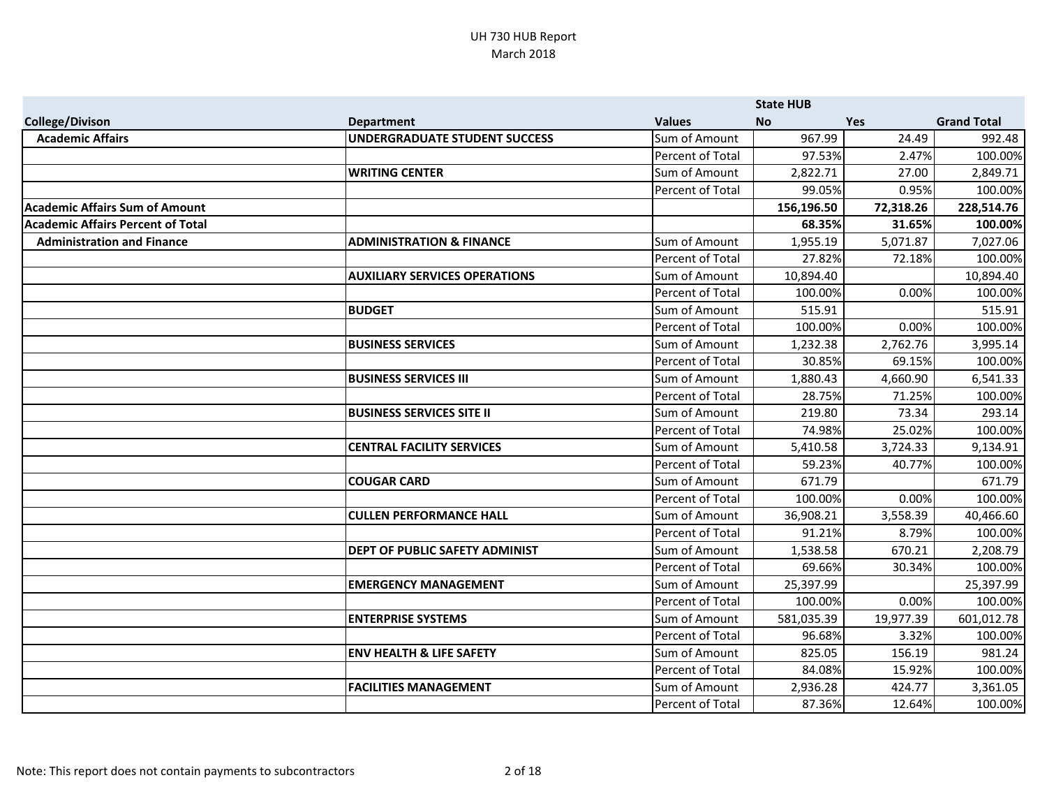|                                          |                                      |                  | <b>State HUB</b> |            |                    |
|------------------------------------------|--------------------------------------|------------------|------------------|------------|--------------------|
| <b>College/Divison</b>                   | <b>Department</b>                    | <b>Values</b>    | <b>No</b>        | <b>Yes</b> | <b>Grand Total</b> |
| <b>Academic Affairs</b>                  | <b>UNDERGRADUATE STUDENT SUCCESS</b> | Sum of Amount    | 967.99           | 24.49      | 992.48             |
|                                          |                                      | Percent of Total | 97.53%           | 2.47%      | 100.00%            |
|                                          | <b>WRITING CENTER</b>                | Sum of Amount    | 2,822.71         | 27.00      | 2,849.71           |
|                                          |                                      | Percent of Total | 99.05%           | 0.95%      | 100.00%            |
| <b>Academic Affairs Sum of Amount</b>    |                                      |                  | 156,196.50       | 72,318.26  | 228,514.76         |
| <b>Academic Affairs Percent of Total</b> |                                      |                  | 68.35%           | 31.65%     | 100.00%            |
| <b>Administration and Finance</b>        | <b>ADMINISTRATION &amp; FINANCE</b>  | Sum of Amount    | 1,955.19         | 5,071.87   | 7,027.06           |
|                                          |                                      | Percent of Total | 27.82%           | 72.18%     | 100.00%            |
|                                          | <b>AUXILIARY SERVICES OPERATIONS</b> | Sum of Amount    | 10,894.40        |            | 10,894.40          |
|                                          |                                      | Percent of Total | 100.00%          | 0.00%      | 100.00%            |
|                                          | <b>BUDGET</b>                        | Sum of Amount    | 515.91           |            | 515.91             |
|                                          |                                      | Percent of Total | 100.00%          | 0.00%      | 100.00%            |
|                                          | <b>BUSINESS SERVICES</b>             | Sum of Amount    | 1,232.38         | 2,762.76   | 3,995.14           |
|                                          |                                      | Percent of Total | 30.85%           | 69.15%     | 100.00%            |
|                                          | <b>BUSINESS SERVICES III</b>         | Sum of Amount    | 1,880.43         | 4,660.90   | 6,541.33           |
|                                          |                                      | Percent of Total | 28.75%           | 71.25%     | 100.00%            |
|                                          | <b>BUSINESS SERVICES SITE II</b>     | Sum of Amount    | 219.80           | 73.34      | 293.14             |
|                                          |                                      | Percent of Total | 74.98%           | 25.02%     | 100.00%            |
|                                          | <b>CENTRAL FACILITY SERVICES</b>     | Sum of Amount    | 5,410.58         | 3,724.33   | 9,134.91           |
|                                          |                                      | Percent of Total | 59.23%           | 40.77%     | 100.00%            |
|                                          | <b>COUGAR CARD</b>                   | Sum of Amount    | 671.79           |            | 671.79             |
|                                          |                                      | Percent of Total | 100.00%          | 0.00%      | 100.00%            |
|                                          | <b>CULLEN PERFORMANCE HALL</b>       | Sum of Amount    | 36,908.21        | 3,558.39   | 40,466.60          |
|                                          |                                      | Percent of Total | 91.21%           | 8.79%      | 100.00%            |
|                                          | DEPT OF PUBLIC SAFETY ADMINIST       | Sum of Amount    | 1,538.58         | 670.21     | 2,208.79           |
|                                          |                                      | Percent of Total | 69.66%           | 30.34%     | 100.00%            |
|                                          | <b>EMERGENCY MANAGEMENT</b>          | Sum of Amount    | 25,397.99        |            | 25,397.99          |
|                                          |                                      | Percent of Total | 100.00%          | 0.00%      | 100.00%            |
|                                          | <b>ENTERPRISE SYSTEMS</b>            | Sum of Amount    | 581,035.39       | 19,977.39  | 601,012.78         |
|                                          |                                      | Percent of Total | 96.68%           | 3.32%      | 100.00%            |
|                                          | <b>ENV HEALTH &amp; LIFE SAFETY</b>  | Sum of Amount    | 825.05           | 156.19     | 981.24             |
|                                          |                                      | Percent of Total | 84.08%           | 15.92%     | 100.00%            |
|                                          | <b>FACILITIES MANAGEMENT</b>         | Sum of Amount    | 2,936.28         | 424.77     | 3,361.05           |
|                                          |                                      | Percent of Total | 87.36%           | 12.64%     | 100.00%            |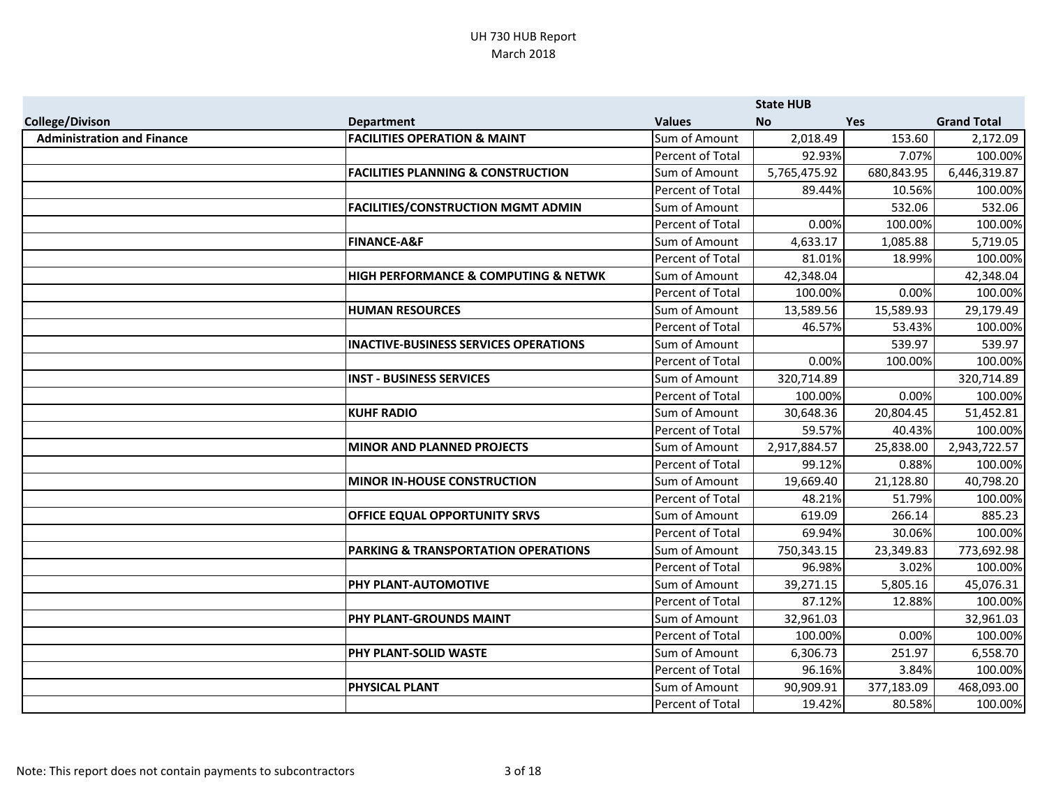|                                   |                                                |                  | <b>State HUB</b> |            |                    |
|-----------------------------------|------------------------------------------------|------------------|------------------|------------|--------------------|
| <b>College/Divison</b>            | <b>Department</b>                              | <b>Values</b>    | <b>No</b>        | <b>Yes</b> | <b>Grand Total</b> |
| <b>Administration and Finance</b> | <b>FACILITIES OPERATION &amp; MAINT</b>        | Sum of Amount    | 2,018.49         | 153.60     | 2,172.09           |
|                                   |                                                | Percent of Total | 92.93%           | 7.07%      | 100.00%            |
|                                   | <b>FACILITIES PLANNING &amp; CONSTRUCTION</b>  | Sum of Amount    | 5,765,475.92     | 680,843.95 | 6,446,319.87       |
|                                   |                                                | Percent of Total | 89.44%           | 10.56%     | 100.00%            |
|                                   | <b>FACILITIES/CONSTRUCTION MGMT ADMIN</b>      | Sum of Amount    |                  | 532.06     | 532.06             |
|                                   |                                                | Percent of Total | 0.00%            | 100.00%    | 100.00%            |
|                                   | <b>FINANCE-A&amp;F</b>                         | Sum of Amount    | 4,633.17         | 1,085.88   | 5,719.05           |
|                                   |                                                | Percent of Total | 81.01%           | 18.99%     | 100.00%            |
|                                   | HIGH PERFORMANCE & COMPUTING & NETWK           | Sum of Amount    | 42,348.04        |            | 42,348.04          |
|                                   |                                                | Percent of Total | 100.00%          | 0.00%      | 100.00%            |
|                                   | <b>HUMAN RESOURCES</b>                         | Sum of Amount    | 13,589.56        | 15,589.93  | 29,179.49          |
|                                   |                                                | Percent of Total | 46.57%           | 53.43%     | 100.00%            |
|                                   | <b>INACTIVE-BUSINESS SERVICES OPERATIONS</b>   | Sum of Amount    |                  | 539.97     | 539.97             |
|                                   |                                                | Percent of Total | 0.00%            | 100.00%    | 100.00%            |
|                                   | <b>INST - BUSINESS SERVICES</b>                | Sum of Amount    | 320,714.89       |            | 320,714.89         |
|                                   |                                                | Percent of Total | 100.00%          | 0.00%      | 100.00%            |
|                                   | <b>KUHF RADIO</b>                              | Sum of Amount    | 30,648.36        | 20,804.45  | 51,452.81          |
|                                   |                                                | Percent of Total | 59.57%           | 40.43%     | 100.00%            |
|                                   | <b>MINOR AND PLANNED PROJECTS</b>              | Sum of Amount    | 2,917,884.57     | 25,838.00  | 2,943,722.57       |
|                                   |                                                | Percent of Total | 99.12%           | 0.88%      | 100.00%            |
|                                   | <b>MINOR IN-HOUSE CONSTRUCTION</b>             | Sum of Amount    | 19,669.40        | 21,128.80  | 40,798.20          |
|                                   |                                                | Percent of Total | 48.21%           | 51.79%     | 100.00%            |
|                                   | OFFICE EQUAL OPPORTUNITY SRVS                  | Sum of Amount    | 619.09           | 266.14     | 885.23             |
|                                   |                                                | Percent of Total | 69.94%           | 30.06%     | 100.00%            |
|                                   | <b>PARKING &amp; TRANSPORTATION OPERATIONS</b> | Sum of Amount    | 750,343.15       | 23,349.83  | 773,692.98         |
|                                   |                                                | Percent of Total | 96.98%           | 3.02%      | 100.00%            |
|                                   | PHY PLANT-AUTOMOTIVE                           | Sum of Amount    | 39,271.15        | 5,805.16   | 45,076.31          |
|                                   |                                                | Percent of Total | 87.12%           | 12.88%     | 100.00%            |
|                                   | PHY PLANT-GROUNDS MAINT                        | Sum of Amount    | 32,961.03        |            | 32,961.03          |
|                                   |                                                | Percent of Total | 100.00%          | 0.00%      | 100.00%            |
|                                   | PHY PLANT-SOLID WASTE                          | Sum of Amount    | 6,306.73         | 251.97     | 6,558.70           |
|                                   |                                                | Percent of Total | 96.16%           | 3.84%      | 100.00%            |
|                                   | <b>PHYSICAL PLANT</b>                          | Sum of Amount    | 90,909.91        | 377,183.09 | 468,093.00         |
|                                   |                                                | Percent of Total | 19.42%           | 80.58%     | 100.00%            |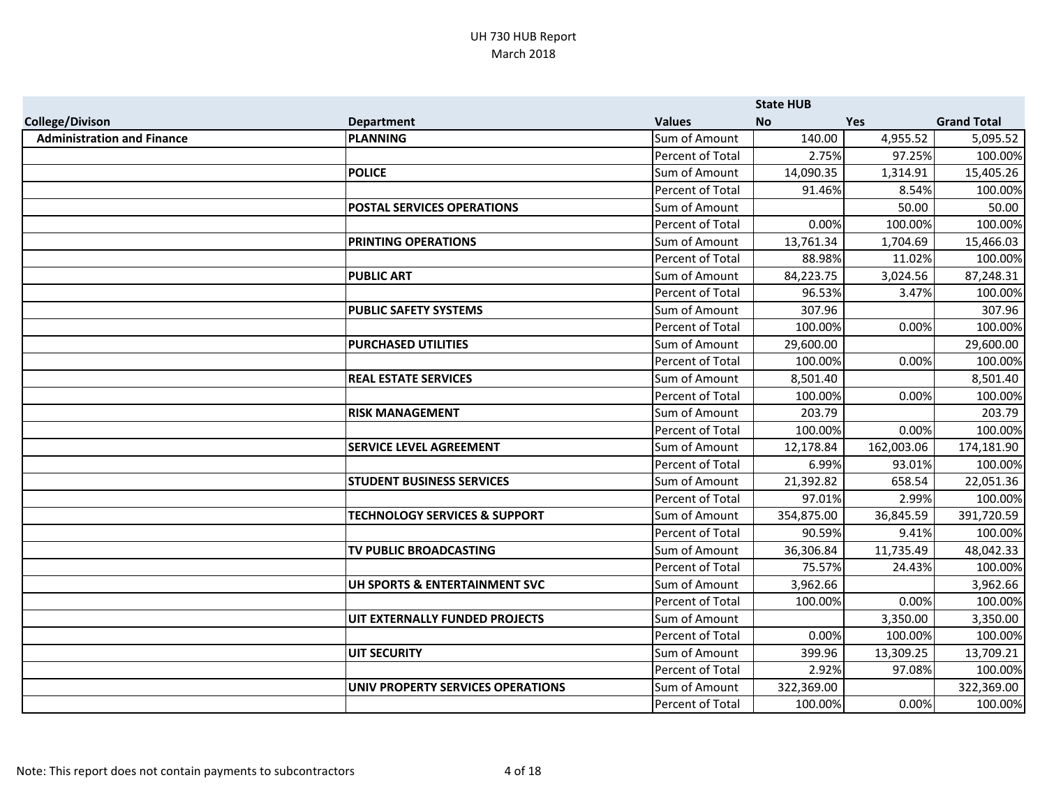|                                   |                                          |                  | <b>State HUB</b> |            |                    |
|-----------------------------------|------------------------------------------|------------------|------------------|------------|--------------------|
| <b>College/Divison</b>            | <b>Department</b>                        | <b>Values</b>    | <b>No</b>        | <b>Yes</b> | <b>Grand Total</b> |
| <b>Administration and Finance</b> | <b>PLANNING</b>                          | Sum of Amount    | 140.00           | 4,955.52   | 5,095.52           |
|                                   |                                          | Percent of Total | 2.75%            | 97.25%     | 100.00%            |
|                                   | <b>POLICE</b>                            | Sum of Amount    | 14,090.35        | 1,314.91   | 15,405.26          |
|                                   |                                          | Percent of Total | 91.46%           | 8.54%      | 100.00%            |
|                                   | <b>POSTAL SERVICES OPERATIONS</b>        | Sum of Amount    |                  | 50.00      | 50.00              |
|                                   |                                          | Percent of Total | 0.00%            | 100.00%    | 100.00%            |
|                                   | PRINTING OPERATIONS                      | Sum of Amount    | 13,761.34        | 1,704.69   | 15,466.03          |
|                                   |                                          | Percent of Total | 88.98%           | 11.02%     | 100.00%            |
|                                   | <b>PUBLIC ART</b>                        | Sum of Amount    | 84,223.75        | 3,024.56   | 87,248.31          |
|                                   |                                          | Percent of Total | 96.53%           | 3.47%      | 100.00%            |
|                                   | <b>PUBLIC SAFETY SYSTEMS</b>             | Sum of Amount    | 307.96           |            | 307.96             |
|                                   |                                          | Percent of Total | 100.00%          | 0.00%      | 100.00%            |
|                                   | <b>PURCHASED UTILITIES</b>               | Sum of Amount    | 29,600.00        |            | 29,600.00          |
|                                   |                                          | Percent of Total | 100.00%          | 0.00%      | 100.00%            |
|                                   | <b>REAL ESTATE SERVICES</b>              | Sum of Amount    | 8,501.40         |            | 8,501.40           |
|                                   |                                          | Percent of Total | 100.00%          | 0.00%      | 100.00%            |
|                                   | <b>RISK MANAGEMENT</b>                   | Sum of Amount    | 203.79           |            | 203.79             |
|                                   |                                          | Percent of Total | 100.00%          | 0.00%      | 100.00%            |
|                                   | <b>SERVICE LEVEL AGREEMENT</b>           | Sum of Amount    | 12,178.84        | 162,003.06 | 174,181.90         |
|                                   |                                          | Percent of Total | 6.99%            | 93.01%     | 100.00%            |
|                                   | <b>STUDENT BUSINESS SERVICES</b>         | Sum of Amount    | 21,392.82        | 658.54     | 22,051.36          |
|                                   |                                          | Percent of Total | 97.01%           | 2.99%      | 100.00%            |
|                                   | <b>TECHNOLOGY SERVICES &amp; SUPPORT</b> | Sum of Amount    | 354,875.00       | 36,845.59  | 391,720.59         |
|                                   |                                          | Percent of Total | 90.59%           | 9.41%      | 100.00%            |
|                                   | TV PUBLIC BROADCASTING                   | Sum of Amount    | 36,306.84        | 11,735.49  | 48,042.33          |
|                                   |                                          | Percent of Total | 75.57%           | 24.43%     | 100.00%            |
|                                   | UH SPORTS & ENTERTAINMENT SVC            | Sum of Amount    | 3,962.66         |            | 3,962.66           |
|                                   |                                          | Percent of Total | 100.00%          | 0.00%      | 100.00%            |
|                                   | UIT EXTERNALLY FUNDED PROJECTS           | Sum of Amount    |                  | 3,350.00   | 3,350.00           |
|                                   |                                          | Percent of Total | 0.00%            | 100.00%    | 100.00%            |
|                                   | <b>UIT SECURITY</b>                      | Sum of Amount    | 399.96           | 13,309.25  | 13,709.21          |
|                                   |                                          | Percent of Total | 2.92%            | 97.08%     | 100.00%            |
|                                   | UNIV PROPERTY SERVICES OPERATIONS        | Sum of Amount    | 322,369.00       |            | 322,369.00         |
|                                   |                                          | Percent of Total | 100.00%          | 0.00%      | 100.00%            |
|                                   |                                          |                  |                  |            |                    |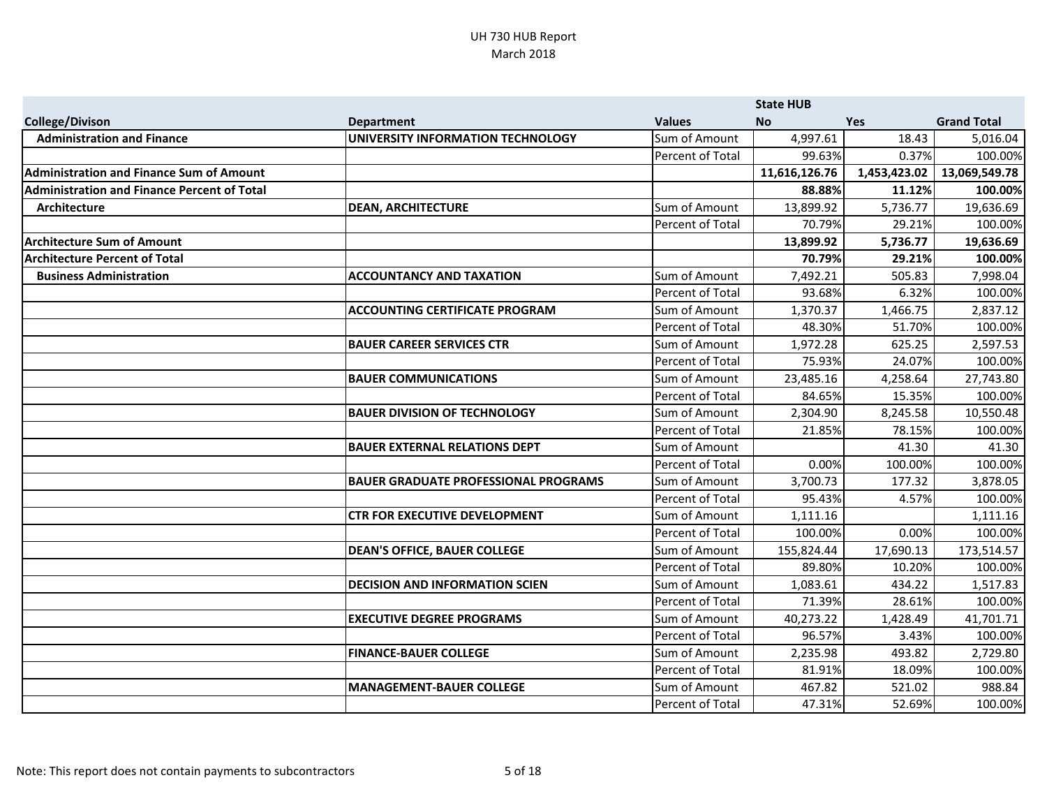|                                                    |                                             |                  | <b>State HUB</b> |              |                    |
|----------------------------------------------------|---------------------------------------------|------------------|------------------|--------------|--------------------|
| <b>College/Divison</b>                             | <b>Department</b>                           | <b>Values</b>    | <b>No</b>        | <b>Yes</b>   | <b>Grand Total</b> |
| <b>Administration and Finance</b>                  | UNIVERSITY INFORMATION TECHNOLOGY           | Sum of Amount    | 4,997.61         | 18.43        | 5,016.04           |
|                                                    |                                             | Percent of Total | 99.63%           | 0.37%        | 100.00%            |
| <b>Administration and Finance Sum of Amount</b>    |                                             |                  | 11,616,126.76    | 1,453,423.02 | 13,069,549.78      |
| <b>Administration and Finance Percent of Total</b> |                                             |                  | 88.88%           | 11.12%       | 100.00%            |
| Architecture                                       | <b>DEAN, ARCHITECTURE</b>                   | Sum of Amount    | 13,899.92        | 5,736.77     | 19,636.69          |
|                                                    |                                             | Percent of Total | 70.79%           | 29.21%       | 100.00%            |
| <b>Architecture Sum of Amount</b>                  |                                             |                  | 13,899.92        | 5,736.77     | 19,636.69          |
| <b>Architecture Percent of Total</b>               |                                             |                  | 70.79%           | 29.21%       | 100.00%            |
| <b>Business Administration</b>                     | <b>ACCOUNTANCY AND TAXATION</b>             | Sum of Amount    | 7,492.21         | 505.83       | 7,998.04           |
|                                                    |                                             | Percent of Total | 93.68%           | 6.32%        | 100.00%            |
|                                                    | <b>ACCOUNTING CERTIFICATE PROGRAM</b>       | Sum of Amount    | 1,370.37         | 1,466.75     | 2,837.12           |
|                                                    |                                             | Percent of Total | 48.30%           | 51.70%       | 100.00%            |
|                                                    | <b>BAUER CAREER SERVICES CTR</b>            | Sum of Amount    | 1,972.28         | 625.25       | 2,597.53           |
|                                                    |                                             | Percent of Total | 75.93%           | 24.07%       | 100.00%            |
|                                                    | <b>BAUER COMMUNICATIONS</b>                 | Sum of Amount    | 23,485.16        | 4,258.64     | 27,743.80          |
|                                                    |                                             | Percent of Total | 84.65%           | 15.35%       | 100.00%            |
|                                                    | <b>BAUER DIVISION OF TECHNOLOGY</b>         | Sum of Amount    | 2,304.90         | 8,245.58     | 10,550.48          |
|                                                    |                                             | Percent of Total | 21.85%           | 78.15%       | 100.00%            |
|                                                    | <b>BAUER EXTERNAL RELATIONS DEPT</b>        | Sum of Amount    |                  | 41.30        | 41.30              |
|                                                    |                                             | Percent of Total | 0.00%            | 100.00%      | 100.00%            |
|                                                    | <b>BAUER GRADUATE PROFESSIONAL PROGRAMS</b> | Sum of Amount    | 3,700.73         | 177.32       | 3,878.05           |
|                                                    |                                             | Percent of Total | 95.43%           | 4.57%        | 100.00%            |
|                                                    | <b>CTR FOR EXECUTIVE DEVELOPMENT</b>        | Sum of Amount    | 1,111.16         |              | 1,111.16           |
|                                                    |                                             | Percent of Total | 100.00%          | 0.00%        | 100.00%            |
|                                                    | <b>DEAN'S OFFICE, BAUER COLLEGE</b>         | Sum of Amount    | 155,824.44       | 17,690.13    | 173,514.57         |
|                                                    |                                             | Percent of Total | 89.80%           | 10.20%       | 100.00%            |
|                                                    | <b>DECISION AND INFORMATION SCIEN</b>       | Sum of Amount    | 1,083.61         | 434.22       | 1,517.83           |
|                                                    |                                             | Percent of Total | 71.39%           | 28.61%       | 100.00%            |
|                                                    | <b>EXECUTIVE DEGREE PROGRAMS</b>            | Sum of Amount    | 40,273.22        | 1,428.49     | 41,701.71          |
|                                                    |                                             | Percent of Total | 96.57%           | 3.43%        | 100.00%            |
|                                                    | <b>FINANCE-BAUER COLLEGE</b>                | Sum of Amount    | 2,235.98         | 493.82       | 2,729.80           |
|                                                    |                                             | Percent of Total | 81.91%           | 18.09%       | 100.00%            |
|                                                    | <b>MANAGEMENT-BAUER COLLEGE</b>             | Sum of Amount    | 467.82           | 521.02       | 988.84             |
|                                                    |                                             | Percent of Total | 47.31%           | 52.69%       | 100.00%            |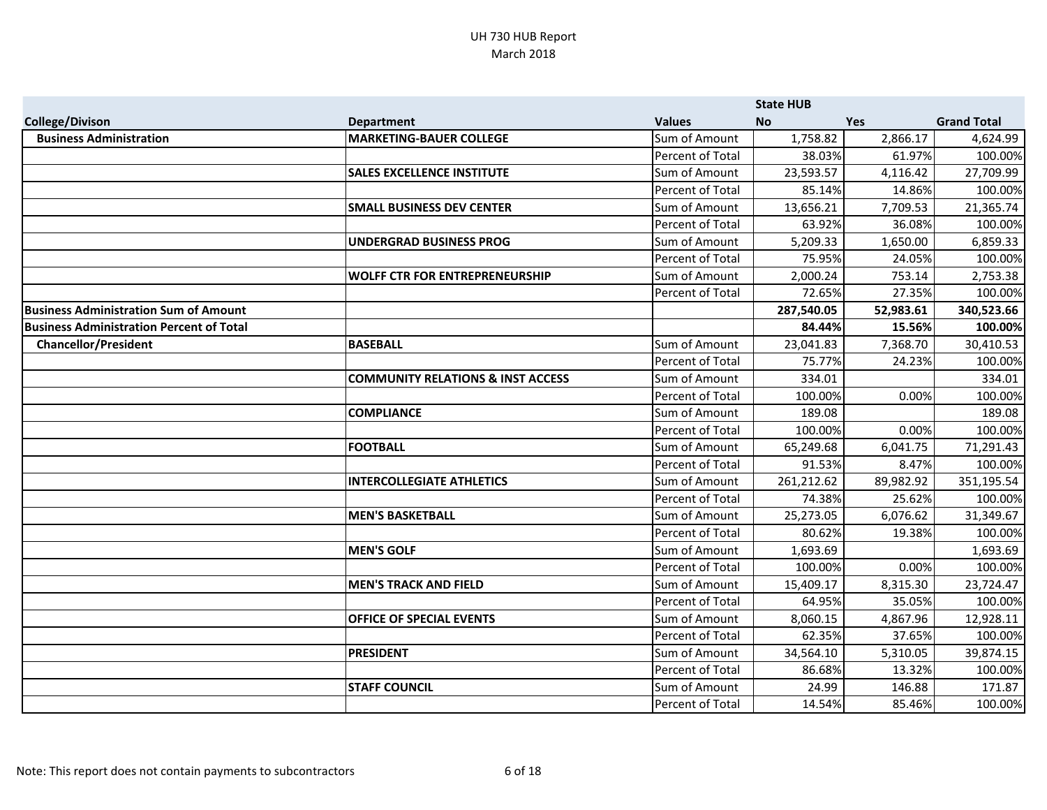|                                                 |                                              |                  | <b>State HUB</b> |            |                    |
|-------------------------------------------------|----------------------------------------------|------------------|------------------|------------|--------------------|
| <b>College/Divison</b>                          | <b>Department</b>                            | <b>Values</b>    | <b>No</b>        | <b>Yes</b> | <b>Grand Total</b> |
| <b>Business Administration</b>                  | <b>MARKETING-BAUER COLLEGE</b>               | Sum of Amount    | 1,758.82         | 2,866.17   | 4,624.99           |
|                                                 |                                              | Percent of Total | 38.03%           | 61.97%     | 100.00%            |
|                                                 | <b>SALES EXCELLENCE INSTITUTE</b>            | Sum of Amount    | 23,593.57        | 4,116.42   | 27,709.99          |
|                                                 |                                              | Percent of Total | 85.14%           | 14.86%     | 100.00%            |
|                                                 | <b>SMALL BUSINESS DEV CENTER</b>             | Sum of Amount    | 13,656.21        | 7,709.53   | 21,365.74          |
|                                                 |                                              | Percent of Total | 63.92%           | 36.08%     | 100.00%            |
|                                                 | <b>UNDERGRAD BUSINESS PROG</b>               | Sum of Amount    | 5,209.33         | 1,650.00   | 6,859.33           |
|                                                 |                                              | Percent of Total | 75.95%           | 24.05%     | 100.00%            |
|                                                 | <b>WOLFF CTR FOR ENTREPRENEURSHIP</b>        | Sum of Amount    | 2,000.24         | 753.14     | 2,753.38           |
|                                                 |                                              | Percent of Total | 72.65%           | 27.35%     | 100.00%            |
| <b>Business Administration Sum of Amount</b>    |                                              |                  | 287,540.05       | 52,983.61  | 340,523.66         |
| <b>Business Administration Percent of Total</b> |                                              |                  | 84.44%           | 15.56%     | 100.00%            |
| <b>Chancellor/President</b>                     | <b>BASEBALL</b>                              | Sum of Amount    | 23,041.83        | 7,368.70   | 30,410.53          |
|                                                 |                                              | Percent of Total | 75.77%           | 24.23%     | 100.00%            |
|                                                 | <b>COMMUNITY RELATIONS &amp; INST ACCESS</b> | Sum of Amount    | 334.01           |            | 334.01             |
|                                                 |                                              | Percent of Total | 100.00%          | 0.00%      | 100.00%            |
|                                                 | <b>COMPLIANCE</b>                            | Sum of Amount    | 189.08           |            | 189.08             |
|                                                 |                                              | Percent of Total | 100.00%          | 0.00%      | 100.00%            |
|                                                 | <b>FOOTBALL</b>                              | Sum of Amount    | 65,249.68        | 6,041.75   | 71,291.43          |
|                                                 |                                              | Percent of Total | 91.53%           | 8.47%      | 100.00%            |
|                                                 | <b>INTERCOLLEGIATE ATHLETICS</b>             | Sum of Amount    | 261,212.62       | 89,982.92  | 351,195.54         |
|                                                 |                                              | Percent of Total | 74.38%           | 25.62%     | 100.00%            |
|                                                 | <b>MEN'S BASKETBALL</b>                      | Sum of Amount    | 25,273.05        | 6,076.62   | 31,349.67          |
|                                                 |                                              | Percent of Total | 80.62%           | 19.38%     | 100.00%            |
|                                                 | <b>MEN'S GOLF</b>                            | Sum of Amount    | 1,693.69         |            | 1,693.69           |
|                                                 |                                              | Percent of Total | 100.00%          | 0.00%      | 100.00%            |
|                                                 | <b>MEN'S TRACK AND FIELD</b>                 | Sum of Amount    | 15,409.17        | 8,315.30   | 23,724.47          |
|                                                 |                                              | Percent of Total | 64.95%           | 35.05%     | 100.00%            |
|                                                 | OFFICE OF SPECIAL EVENTS                     | Sum of Amount    | 8,060.15         | 4,867.96   | 12,928.11          |
|                                                 |                                              | Percent of Total | 62.35%           | 37.65%     | 100.00%            |
|                                                 | <b>PRESIDENT</b>                             | Sum of Amount    | 34,564.10        | 5,310.05   | 39,874.15          |
|                                                 |                                              | Percent of Total | 86.68%           | 13.32%     | 100.00%            |
|                                                 | <b>STAFF COUNCIL</b>                         | Sum of Amount    | 24.99            | 146.88     | 171.87             |
|                                                 |                                              | Percent of Total | 14.54%           | 85.46%     | 100.00%            |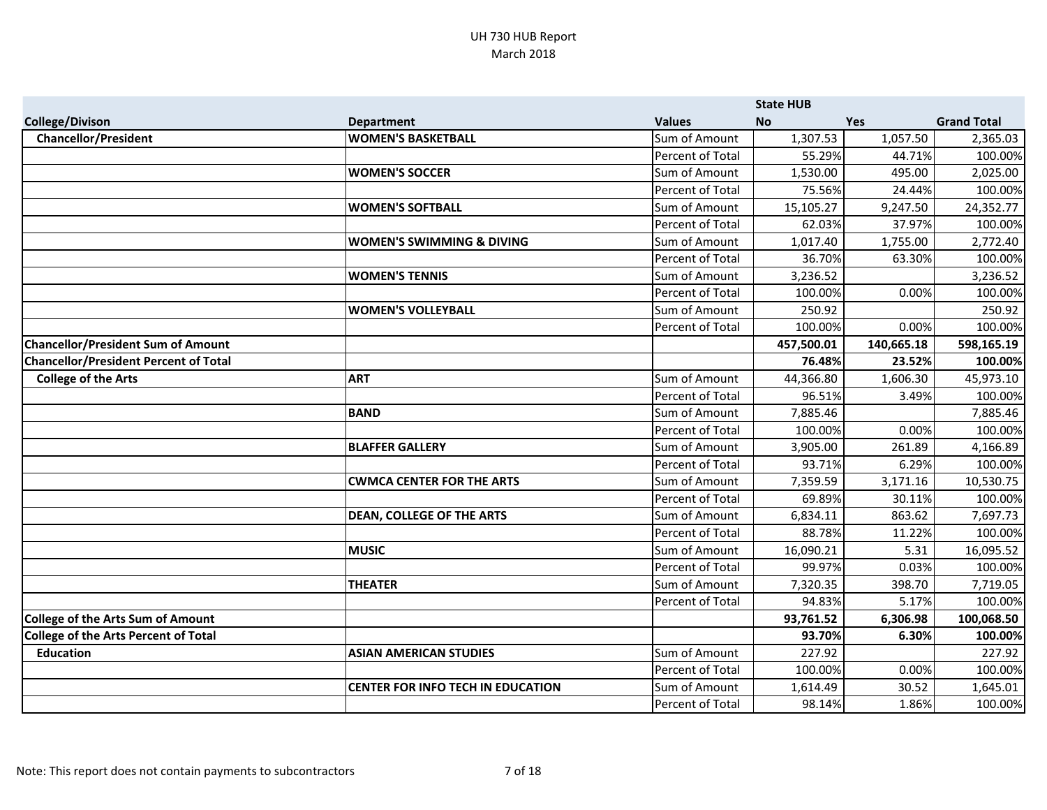|                                              |                                          |                  | <b>State HUB</b> |            |                    |
|----------------------------------------------|------------------------------------------|------------------|------------------|------------|--------------------|
| <b>College/Divison</b>                       | <b>Department</b>                        | <b>Values</b>    | <b>No</b>        | Yes        | <b>Grand Total</b> |
| <b>Chancellor/President</b>                  | <b>WOMEN'S BASKETBALL</b>                | Sum of Amount    | 1,307.53         | 1,057.50   | 2,365.03           |
|                                              |                                          | Percent of Total | 55.29%           | 44.71%     | 100.00%            |
|                                              | <b>WOMEN'S SOCCER</b>                    | Sum of Amount    | 1,530.00         | 495.00     | 2,025.00           |
|                                              |                                          | Percent of Total | 75.56%           | 24.44%     | 100.00%            |
|                                              | <b>WOMEN'S SOFTBALL</b>                  | Sum of Amount    | 15,105.27        | 9,247.50   | 24,352.77          |
|                                              |                                          | Percent of Total | 62.03%           | 37.97%     | 100.00%            |
|                                              | <b>WOMEN'S SWIMMING &amp; DIVING</b>     | Sum of Amount    | 1,017.40         | 1,755.00   | 2,772.40           |
|                                              |                                          | Percent of Total | 36.70%           | 63.30%     | 100.00%            |
|                                              | <b>WOMEN'S TENNIS</b>                    | Sum of Amount    | 3,236.52         |            | 3,236.52           |
|                                              |                                          | Percent of Total | 100.00%          | 0.00%      | 100.00%            |
|                                              | <b>WOMEN'S VOLLEYBALL</b>                | Sum of Amount    | 250.92           |            | 250.92             |
|                                              |                                          | Percent of Total | 100.00%          | 0.00%      | 100.00%            |
| <b>Chancellor/President Sum of Amount</b>    |                                          |                  | 457,500.01       | 140,665.18 | 598,165.19         |
| <b>Chancellor/President Percent of Total</b> |                                          |                  | 76.48%           | 23.52%     | 100.00%            |
| <b>College of the Arts</b>                   | <b>ART</b>                               | Sum of Amount    | 44,366.80        | 1,606.30   | 45,973.10          |
|                                              |                                          | Percent of Total | 96.51%           | 3.49%      | 100.00%            |
|                                              | <b>BAND</b>                              | Sum of Amount    | 7,885.46         |            | 7,885.46           |
|                                              |                                          | Percent of Total | 100.00%          | 0.00%      | 100.00%            |
|                                              | <b>BLAFFER GALLERY</b>                   | Sum of Amount    | 3,905.00         | 261.89     | 4,166.89           |
|                                              |                                          | Percent of Total | 93.71%           | 6.29%      | 100.00%            |
|                                              | <b>CWMCA CENTER FOR THE ARTS</b>         | Sum of Amount    | 7,359.59         | 3,171.16   | 10,530.75          |
|                                              |                                          | Percent of Total | 69.89%           | 30.11%     | 100.00%            |
|                                              | <b>DEAN, COLLEGE OF THE ARTS</b>         | Sum of Amount    | 6,834.11         | 863.62     | 7,697.73           |
|                                              |                                          | Percent of Total | 88.78%           | 11.22%     | 100.00%            |
|                                              | <b>MUSIC</b>                             | Sum of Amount    | 16,090.21        | 5.31       | 16,095.52          |
|                                              |                                          | Percent of Total | 99.97%           | 0.03%      | 100.00%            |
|                                              | <b>THEATER</b>                           | Sum of Amount    | 7,320.35         | 398.70     | 7,719.05           |
|                                              |                                          | Percent of Total | 94.83%           | 5.17%      | 100.00%            |
| <b>College of the Arts Sum of Amount</b>     |                                          |                  | 93,761.52        | 6,306.98   | 100,068.50         |
| <b>College of the Arts Percent of Total</b>  |                                          |                  | 93.70%           | 6.30%      | 100.00%            |
| <b>Education</b>                             | <b>ASIAN AMERICAN STUDIES</b>            | Sum of Amount    | 227.92           |            | 227.92             |
|                                              |                                          | Percent of Total | 100.00%          | 0.00%      | 100.00%            |
|                                              | <b>CENTER FOR INFO TECH IN EDUCATION</b> | Sum of Amount    | 1,614.49         | 30.52      | 1,645.01           |
|                                              |                                          | Percent of Total | 98.14%           | 1.86%      | 100.00%            |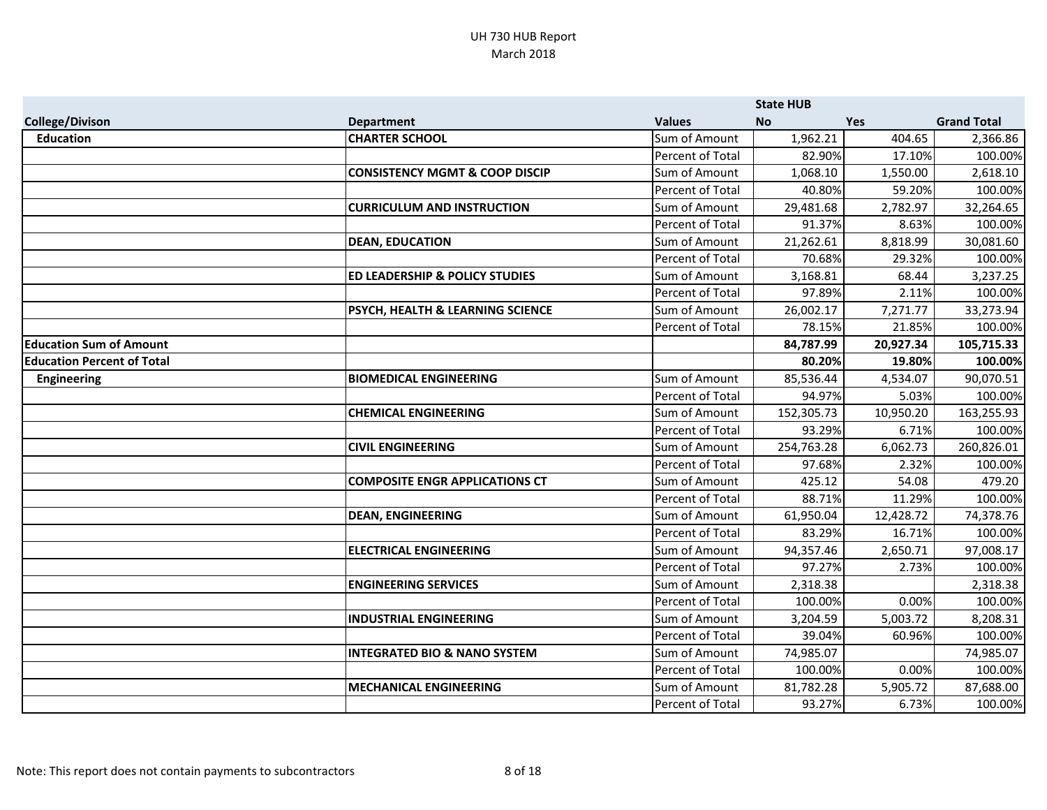|                                   |                                             |                  | <b>State HUB</b> |            |                    |
|-----------------------------------|---------------------------------------------|------------------|------------------|------------|--------------------|
| <b>College/Divison</b>            | <b>Department</b>                           | <b>Values</b>    | <b>No</b>        | <b>Yes</b> | <b>Grand Total</b> |
| <b>Education</b>                  | <b>CHARTER SCHOOL</b>                       | Sum of Amount    | 1,962.21         | 404.65     | 2,366.86           |
|                                   |                                             | Percent of Total | 82.90%           | 17.10%     | 100.00%            |
|                                   | <b>CONSISTENCY MGMT &amp; COOP DISCIP</b>   | Sum of Amount    | 1,068.10         | 1,550.00   | 2,618.10           |
|                                   |                                             | Percent of Total | 40.80%           | 59.20%     | 100.00%            |
|                                   | <b>CURRICULUM AND INSTRUCTION</b>           | Sum of Amount    | 29,481.68        | 2,782.97   | 32,264.65          |
|                                   |                                             | Percent of Total | 91.37%           | 8.63%      | 100.00%            |
|                                   | <b>DEAN, EDUCATION</b>                      | Sum of Amount    | 21,262.61        | 8,818.99   | 30,081.60          |
|                                   |                                             | Percent of Total | 70.68%           | 29.32%     | 100.00%            |
|                                   | <b>ED LEADERSHIP &amp; POLICY STUDIES</b>   | Sum of Amount    | 3,168.81         | 68.44      | 3,237.25           |
|                                   |                                             | Percent of Total | 97.89%           | 2.11%      | 100.00%            |
|                                   | <b>PSYCH, HEALTH &amp; LEARNING SCIENCE</b> | Sum of Amount    | 26,002.17        | 7,271.77   | 33,273.94          |
|                                   |                                             | Percent of Total | 78.15%           | 21.85%     | 100.00%            |
| <b>Education Sum of Amount</b>    |                                             |                  | 84,787.99        | 20,927.34  | 105,715.33         |
| <b>Education Percent of Total</b> |                                             |                  | 80.20%           | 19.80%     | 100.00%            |
| <b>Engineering</b>                | <b>BIOMEDICAL ENGINEERING</b>               | Sum of Amount    | 85,536.44        | 4,534.07   | 90,070.51          |
|                                   |                                             | Percent of Total | 94.97%           | 5.03%      | 100.00%            |
|                                   | <b>CHEMICAL ENGINEERING</b>                 | Sum of Amount    | 152,305.73       | 10,950.20  | 163,255.93         |
|                                   |                                             | Percent of Total | 93.29%           | 6.71%      | 100.00%            |
|                                   | <b>CIVIL ENGINEERING</b>                    | Sum of Amount    | 254,763.28       | 6,062.73   | 260,826.01         |
|                                   |                                             | Percent of Total | 97.68%           | 2.32%      | 100.00%            |
|                                   | <b>COMPOSITE ENGR APPLICATIONS CT</b>       | Sum of Amount    | 425.12           | 54.08      | 479.20             |
|                                   |                                             | Percent of Total | 88.71%           | 11.29%     | 100.00%            |
|                                   | <b>DEAN, ENGINEERING</b>                    | Sum of Amount    | 61,950.04        | 12,428.72  | 74,378.76          |
|                                   |                                             | Percent of Total | 83.29%           | 16.71%     | 100.00%            |
|                                   | <b>ELECTRICAL ENGINEERING</b>               | Sum of Amount    | 94,357.46        | 2,650.71   | 97,008.17          |
|                                   |                                             | Percent of Total | 97.27%           | 2.73%      | 100.00%            |
|                                   | <b>ENGINEERING SERVICES</b>                 | Sum of Amount    | 2,318.38         |            | 2,318.38           |
|                                   |                                             | Percent of Total | 100.00%          | 0.00%      | 100.00%            |
|                                   | <b>INDUSTRIAL ENGINEERING</b>               | Sum of Amount    | 3,204.59         | 5,003.72   | 8,208.31           |
|                                   |                                             | Percent of Total | 39.04%           | 60.96%     | 100.00%            |
|                                   | <b>INTEGRATED BIO &amp; NANO SYSTEM</b>     | Sum of Amount    | 74,985.07        |            | 74,985.07          |
|                                   |                                             | Percent of Total | 100.00%          | 0.00%      | 100.00%            |
|                                   | <b>MECHANICAL ENGINEERING</b>               | Sum of Amount    | 81,782.28        | 5,905.72   | 87,688.00          |
|                                   |                                             | Percent of Total | 93.27%           | 6.73%      | 100.00%            |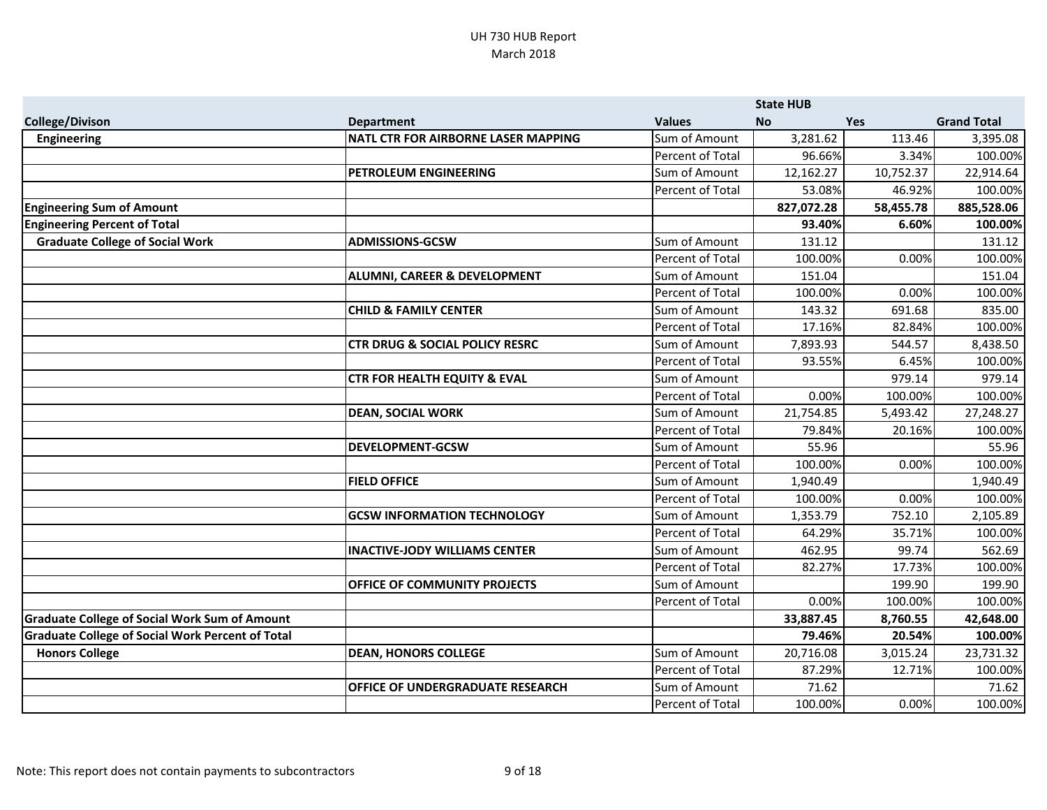|                                                         |                                            |                  | <b>State HUB</b> |            |                    |
|---------------------------------------------------------|--------------------------------------------|------------------|------------------|------------|--------------------|
| <b>College/Divison</b>                                  | <b>Department</b>                          | <b>Values</b>    | <b>No</b>        | <b>Yes</b> | <b>Grand Total</b> |
| <b>Engineering</b>                                      | <b>NATL CTR FOR AIRBORNE LASER MAPPING</b> | Sum of Amount    | 3,281.62         | 113.46     | 3,395.08           |
|                                                         |                                            | Percent of Total | 96.66%           | 3.34%      | 100.00%            |
|                                                         | PETROLEUM ENGINEERING                      | Sum of Amount    | 12,162.27        | 10,752.37  | 22,914.64          |
|                                                         |                                            | Percent of Total | 53.08%           | 46.92%     | 100.00%            |
| <b>Engineering Sum of Amount</b>                        |                                            |                  | 827,072.28       | 58,455.78  | 885,528.06         |
| <b>Engineering Percent of Total</b>                     |                                            |                  | 93.40%           | 6.60%      | 100.00%            |
| <b>Graduate College of Social Work</b>                  | <b>ADMISSIONS-GCSW</b>                     | Sum of Amount    | 131.12           |            | 131.12             |
|                                                         |                                            | Percent of Total | 100.00%          | 0.00%      | 100.00%            |
|                                                         | ALUMNI, CAREER & DEVELOPMENT               | Sum of Amount    | 151.04           |            | 151.04             |
|                                                         |                                            | Percent of Total | 100.00%          | 0.00%      | 100.00%            |
|                                                         | <b>CHILD &amp; FAMILY CENTER</b>           | Sum of Amount    | 143.32           | 691.68     | 835.00             |
|                                                         |                                            | Percent of Total | 17.16%           | 82.84%     | 100.00%            |
|                                                         | <b>CTR DRUG &amp; SOCIAL POLICY RESRC</b>  | Sum of Amount    | 7,893.93         | 544.57     | 8,438.50           |
|                                                         |                                            | Percent of Total | 93.55%           | 6.45%      | 100.00%            |
|                                                         | <b>CTR FOR HEALTH EQUITY &amp; EVAL</b>    | Sum of Amount    |                  | 979.14     | 979.14             |
|                                                         |                                            | Percent of Total | 0.00%            | 100.00%    | 100.00%            |
|                                                         | <b>DEAN, SOCIAL WORK</b>                   | Sum of Amount    | 21,754.85        | 5,493.42   | 27,248.27          |
|                                                         |                                            | Percent of Total | 79.84%           | 20.16%     | 100.00%            |
|                                                         | <b>DEVELOPMENT-GCSW</b>                    | Sum of Amount    | 55.96            |            | 55.96              |
|                                                         |                                            | Percent of Total | 100.00%          | 0.00%      | 100.00%            |
|                                                         | <b>FIELD OFFICE</b>                        | Sum of Amount    | 1,940.49         |            | 1,940.49           |
|                                                         |                                            | Percent of Total | 100.00%          | 0.00%      | 100.00%            |
|                                                         | <b>GCSW INFORMATION TECHNOLOGY</b>         | Sum of Amount    | 1,353.79         | 752.10     | 2,105.89           |
|                                                         |                                            | Percent of Total | 64.29%           | 35.71%     | 100.00%            |
|                                                         | <b>INACTIVE-JODY WILLIAMS CENTER</b>       | Sum of Amount    | 462.95           | 99.74      | 562.69             |
|                                                         |                                            | Percent of Total | 82.27%           | 17.73%     | 100.00%            |
|                                                         | OFFICE OF COMMUNITY PROJECTS               | Sum of Amount    |                  | 199.90     | 199.90             |
|                                                         |                                            | Percent of Total | 0.00%            | 100.00%    | 100.00%            |
| <b>Graduate College of Social Work Sum of Amount</b>    |                                            |                  | 33,887.45        | 8,760.55   | 42,648.00          |
| <b>Graduate College of Social Work Percent of Total</b> |                                            |                  | 79.46%           | 20.54%     | 100.00%            |
| <b>Honors College</b>                                   | <b>DEAN, HONORS COLLEGE</b>                | Sum of Amount    | 20,716.08        | 3,015.24   | 23,731.32          |
|                                                         |                                            | Percent of Total | 87.29%           | 12.71%     | 100.00%            |
|                                                         | OFFICE OF UNDERGRADUATE RESEARCH           | Sum of Amount    | 71.62            |            | 71.62              |
|                                                         |                                            | Percent of Total | 100.00%          | 0.00%      | 100.00%            |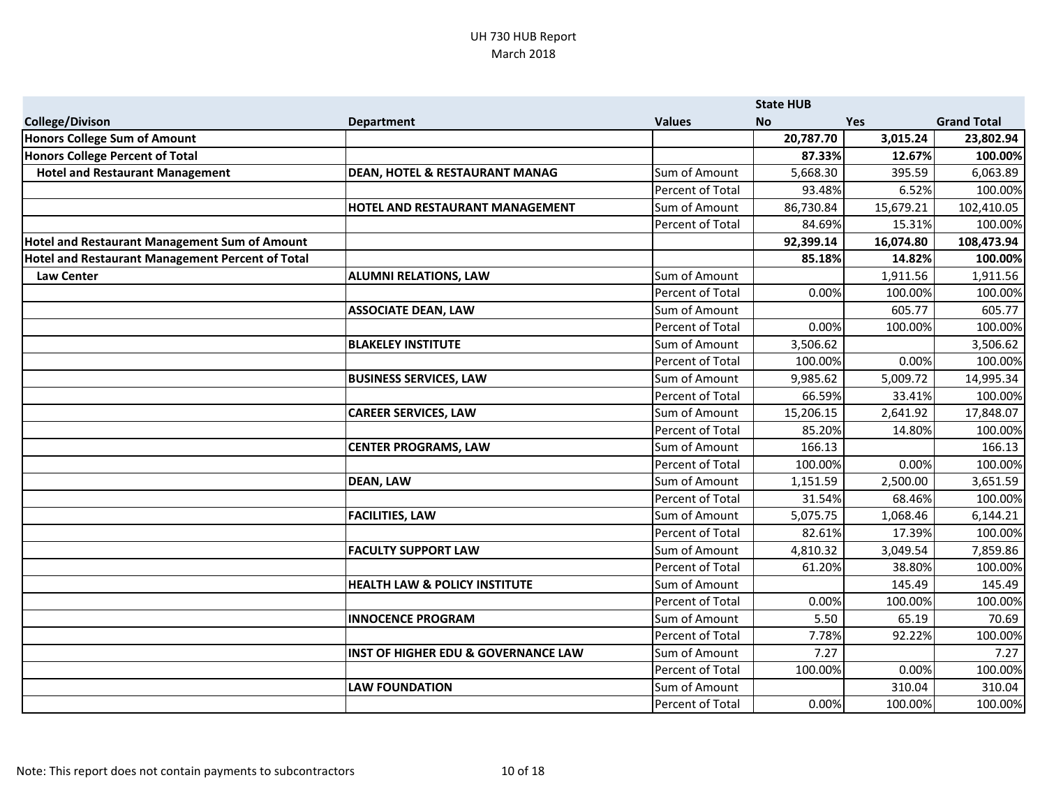|                                                      |                                                |                  | <b>State HUB</b> |            |                    |
|------------------------------------------------------|------------------------------------------------|------------------|------------------|------------|--------------------|
| <b>College/Divison</b>                               | <b>Department</b>                              | <b>Values</b>    | <b>No</b>        | <b>Yes</b> | <b>Grand Total</b> |
| Honors College Sum of Amount                         |                                                |                  | 20,787.70        | 3,015.24   | 23,802.94          |
| <b>Honors College Percent of Total</b>               |                                                |                  | 87.33%           | 12.67%     | 100.00%            |
| <b>Hotel and Restaurant Management</b>               | <b>DEAN, HOTEL &amp; RESTAURANT MANAG</b>      | Sum of Amount    | 5,668.30         | 395.59     | 6,063.89           |
|                                                      |                                                | Percent of Total | 93.48%           | 6.52%      | 100.00%            |
|                                                      | HOTEL AND RESTAURANT MANAGEMENT                | Sum of Amount    | 86,730.84        | 15,679.21  | 102,410.05         |
|                                                      |                                                | Percent of Total | 84.69%           | 15.31%     | 100.00%            |
| <b>Hotel and Restaurant Management Sum of Amount</b> |                                                |                  | 92,399.14        | 16,074.80  | 108,473.94         |
| Hotel and Restaurant Management Percent of Total     |                                                |                  | 85.18%           | 14.82%     | 100.00%            |
| <b>Law Center</b>                                    | <b>ALUMNI RELATIONS, LAW</b>                   | Sum of Amount    |                  | 1,911.56   | 1,911.56           |
|                                                      |                                                | Percent of Total | 0.00%            | 100.00%    | 100.00%            |
|                                                      | <b>ASSOCIATE DEAN, LAW</b>                     | Sum of Amount    |                  | 605.77     | 605.77             |
|                                                      |                                                | Percent of Total | 0.00%            | 100.00%    | 100.00%            |
|                                                      | <b>BLAKELEY INSTITUTE</b>                      | Sum of Amount    | 3,506.62         |            | 3,506.62           |
|                                                      |                                                | Percent of Total | 100.00%          | 0.00%      | 100.00%            |
|                                                      | <b>BUSINESS SERVICES, LAW</b>                  | Sum of Amount    | 9,985.62         | 5,009.72   | 14,995.34          |
|                                                      |                                                | Percent of Total | 66.59%           | 33.41%     | 100.00%            |
|                                                      | <b>CAREER SERVICES, LAW</b>                    | Sum of Amount    | 15,206.15        | 2,641.92   | 17,848.07          |
|                                                      |                                                | Percent of Total | 85.20%           | 14.80%     | 100.00%            |
|                                                      | <b>CENTER PROGRAMS, LAW</b>                    | Sum of Amount    | 166.13           |            | 166.13             |
|                                                      |                                                | Percent of Total | 100.00%          | 0.00%      | 100.00%            |
|                                                      | <b>DEAN, LAW</b>                               | Sum of Amount    | 1,151.59         | 2,500.00   | 3,651.59           |
|                                                      |                                                | Percent of Total | 31.54%           | 68.46%     | 100.00%            |
|                                                      | <b>FACILITIES, LAW</b>                         | Sum of Amount    | 5,075.75         | 1,068.46   | 6,144.21           |
|                                                      |                                                | Percent of Total | 82.61%           | 17.39%     | 100.00%            |
|                                                      | <b>FACULTY SUPPORT LAW</b>                     | Sum of Amount    | 4,810.32         | 3,049.54   | 7,859.86           |
|                                                      |                                                | Percent of Total | 61.20%           | 38.80%     | 100.00%            |
|                                                      | <b>HEALTH LAW &amp; POLICY INSTITUTE</b>       | Sum of Amount    |                  | 145.49     | 145.49             |
|                                                      |                                                | Percent of Total | 0.00%            | 100.00%    | 100.00%            |
|                                                      | <b>INNOCENCE PROGRAM</b>                       | Sum of Amount    | 5.50             | 65.19      | 70.69              |
|                                                      |                                                | Percent of Total | 7.78%            | 92.22%     | 100.00%            |
|                                                      | <b>INST OF HIGHER EDU &amp; GOVERNANCE LAW</b> | Sum of Amount    | 7.27             |            | 7.27               |
|                                                      |                                                | Percent of Total | 100.00%          | 0.00%      | 100.00%            |
|                                                      | <b>LAW FOUNDATION</b>                          | Sum of Amount    |                  | 310.04     | 310.04             |
|                                                      |                                                | Percent of Total | 0.00%            | 100.00%    | 100.00%            |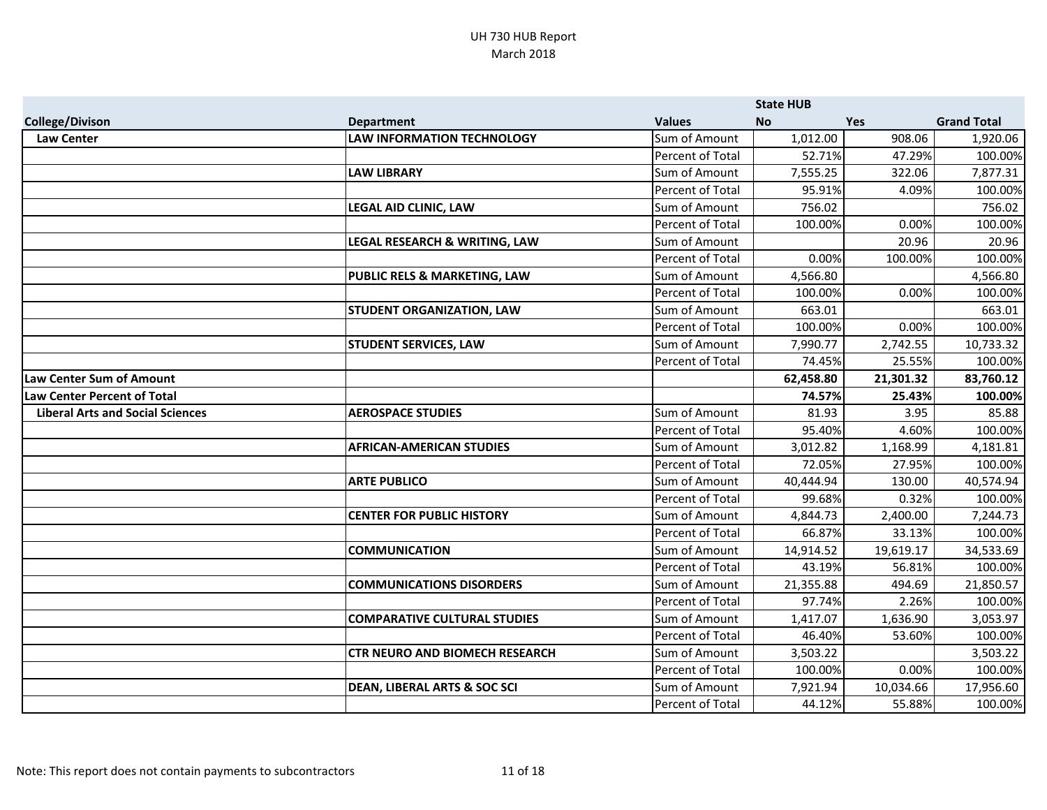|                                         |                                         |                  | <b>State HUB</b> |            |                    |
|-----------------------------------------|-----------------------------------------|------------------|------------------|------------|--------------------|
| <b>College/Divison</b>                  | <b>Department</b>                       | <b>Values</b>    | <b>No</b>        | <b>Yes</b> | <b>Grand Total</b> |
| <b>Law Center</b>                       | <b>LAW INFORMATION TECHNOLOGY</b>       | Sum of Amount    | 1,012.00         | 908.06     | 1,920.06           |
|                                         |                                         | Percent of Total | 52.71%           | 47.29%     | 100.00%            |
|                                         | <b>LAW LIBRARY</b>                      | Sum of Amount    | 7,555.25         | 322.06     | 7,877.31           |
|                                         |                                         | Percent of Total | 95.91%           | 4.09%      | 100.00%            |
|                                         | LEGAL AID CLINIC, LAW                   | Sum of Amount    | 756.02           |            | 756.02             |
|                                         |                                         | Percent of Total | 100.00%          | 0.00%      | 100.00%            |
|                                         | LEGAL RESEARCH & WRITING, LAW           | Sum of Amount    |                  | 20.96      | 20.96              |
|                                         |                                         | Percent of Total | 0.00%            | 100.00%    | 100.00%            |
|                                         | PUBLIC RELS & MARKETING, LAW            | Sum of Amount    | 4,566.80         |            | 4,566.80           |
|                                         |                                         | Percent of Total | 100.00%          | 0.00%      | 100.00%            |
|                                         | <b>STUDENT ORGANIZATION, LAW</b>        | Sum of Amount    | 663.01           |            | 663.01             |
|                                         |                                         | Percent of Total | 100.00%          | 0.00%      | 100.00%            |
|                                         | <b>STUDENT SERVICES, LAW</b>            | Sum of Amount    | 7,990.77         | 2,742.55   | 10,733.32          |
|                                         |                                         | Percent of Total | 74.45%           | 25.55%     | 100.00%            |
| <b>Law Center Sum of Amount</b>         |                                         |                  | 62,458.80        | 21,301.32  | 83,760.12          |
| Law Center Percent of Total             |                                         |                  | 74.57%           | 25.43%     | 100.00%            |
| <b>Liberal Arts and Social Sciences</b> | <b>AEROSPACE STUDIES</b>                | Sum of Amount    | 81.93            | 3.95       | 85.88              |
|                                         |                                         | Percent of Total | 95.40%           | 4.60%      | 100.00%            |
|                                         | <b>AFRICAN-AMERICAN STUDIES</b>         | Sum of Amount    | 3,012.82         | 1,168.99   | 4,181.81           |
|                                         |                                         | Percent of Total | 72.05%           | 27.95%     | 100.00%            |
|                                         | <b>ARTE PUBLICO</b>                     | Sum of Amount    | 40,444.94        | 130.00     | 40,574.94          |
|                                         |                                         | Percent of Total | 99.68%           | 0.32%      | 100.00%            |
|                                         | <b>CENTER FOR PUBLIC HISTORY</b>        | Sum of Amount    | 4,844.73         | 2,400.00   | 7,244.73           |
|                                         |                                         | Percent of Total | 66.87%           | 33.13%     | 100.00%            |
|                                         | <b>COMMUNICATION</b>                    | Sum of Amount    | 14,914.52        | 19,619.17  | 34,533.69          |
|                                         |                                         | Percent of Total | 43.19%           | 56.81%     | 100.00%            |
|                                         | <b>COMMUNICATIONS DISORDERS</b>         | Sum of Amount    | 21,355.88        | 494.69     | 21,850.57          |
|                                         |                                         | Percent of Total | 97.74%           | 2.26%      | 100.00%            |
|                                         | <b>COMPARATIVE CULTURAL STUDIES</b>     | Sum of Amount    | 1,417.07         | 1,636.90   | 3,053.97           |
|                                         |                                         | Percent of Total | 46.40%           | 53.60%     | 100.00%            |
|                                         | <b>CTR NEURO AND BIOMECH RESEARCH</b>   | Sum of Amount    | 3,503.22         |            | 3,503.22           |
|                                         |                                         | Percent of Total | 100.00%          | 0.00%      | 100.00%            |
|                                         | <b>DEAN, LIBERAL ARTS &amp; SOC SCI</b> | Sum of Amount    | 7,921.94         | 10,034.66  | 17,956.60          |
|                                         |                                         | Percent of Total | 44.12%           | 55.88%     | 100.00%            |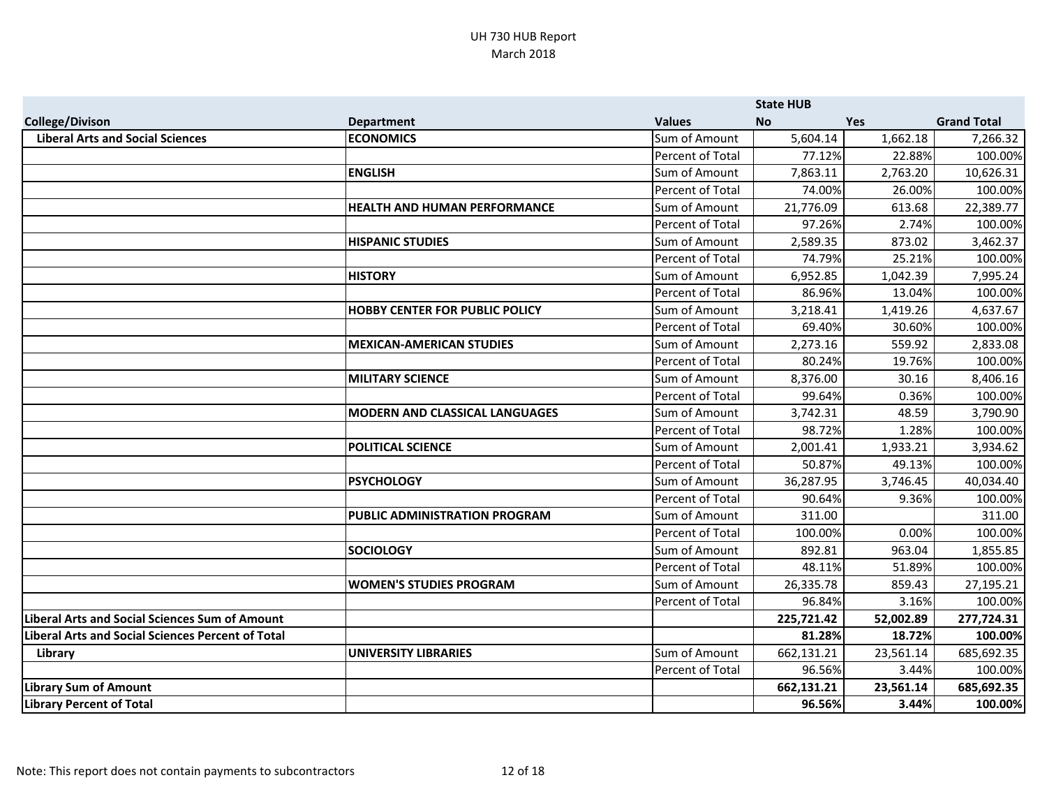|                                                          |                                       |                  | <b>State HUB</b> |            |                    |
|----------------------------------------------------------|---------------------------------------|------------------|------------------|------------|--------------------|
| <b>College/Divison</b>                                   | <b>Department</b>                     | <b>Values</b>    | <b>No</b>        | <b>Yes</b> | <b>Grand Total</b> |
| <b>Liberal Arts and Social Sciences</b>                  | <b>ECONOMICS</b>                      | Sum of Amount    | 5,604.14         | 1,662.18   | 7,266.32           |
|                                                          |                                       | Percent of Total | 77.12%           | 22.88%     | 100.00%            |
|                                                          | <b>ENGLISH</b>                        | Sum of Amount    | 7,863.11         | 2,763.20   | 10,626.31          |
|                                                          |                                       | Percent of Total | 74.00%           | 26.00%     | 100.00%            |
|                                                          | <b>HEALTH AND HUMAN PERFORMANCE</b>   | Sum of Amount    | 21,776.09        | 613.68     | 22,389.77          |
|                                                          |                                       | Percent of Total | 97.26%           | 2.74%      | 100.00%            |
|                                                          | <b>HISPANIC STUDIES</b>               | Sum of Amount    | 2,589.35         | 873.02     | 3,462.37           |
|                                                          |                                       | Percent of Total | 74.79%           | 25.21%     | 100.00%            |
|                                                          | <b>HISTORY</b>                        | Sum of Amount    | 6,952.85         | 1,042.39   | 7,995.24           |
|                                                          |                                       | Percent of Total | 86.96%           | 13.04%     | 100.00%            |
|                                                          | <b>HOBBY CENTER FOR PUBLIC POLICY</b> | Sum of Amount    | 3,218.41         | 1,419.26   | 4,637.67           |
|                                                          |                                       | Percent of Total | 69.40%           | 30.60%     | 100.00%            |
|                                                          | <b>MEXICAN-AMERICAN STUDIES</b>       | Sum of Amount    | 2,273.16         | 559.92     | 2,833.08           |
|                                                          |                                       | Percent of Total | 80.24%           | 19.76%     | 100.00%            |
|                                                          | <b>MILITARY SCIENCE</b>               | Sum of Amount    | 8,376.00         | 30.16      | 8,406.16           |
|                                                          |                                       | Percent of Total | 99.64%           | 0.36%      | 100.00%            |
|                                                          | <b>MODERN AND CLASSICAL LANGUAGES</b> | Sum of Amount    | 3,742.31         | 48.59      | 3,790.90           |
|                                                          |                                       | Percent of Total | 98.72%           | 1.28%      | 100.00%            |
|                                                          | <b>POLITICAL SCIENCE</b>              | Sum of Amount    | 2,001.41         | 1,933.21   | 3,934.62           |
|                                                          |                                       | Percent of Total | 50.87%           | 49.13%     | 100.00%            |
|                                                          | <b>PSYCHOLOGY</b>                     | Sum of Amount    | 36,287.95        | 3,746.45   | 40,034.40          |
|                                                          |                                       | Percent of Total | 90.64%           | 9.36%      | 100.00%            |
|                                                          | <b>PUBLIC ADMINISTRATION PROGRAM</b>  | Sum of Amount    | 311.00           |            | 311.00             |
|                                                          |                                       | Percent of Total | 100.00%          | 0.00%      | 100.00%            |
|                                                          | <b>SOCIOLOGY</b>                      | Sum of Amount    | 892.81           | 963.04     | 1,855.85           |
|                                                          |                                       | Percent of Total | 48.11%           | 51.89%     | 100.00%            |
|                                                          | <b>WOMEN'S STUDIES PROGRAM</b>        | Sum of Amount    | 26,335.78        | 859.43     | 27,195.21          |
|                                                          |                                       | Percent of Total | 96.84%           | 3.16%      | 100.00%            |
| <b>Liberal Arts and Social Sciences Sum of Amount</b>    |                                       |                  | 225,721.42       | 52,002.89  | 277,724.31         |
| <b>Liberal Arts and Social Sciences Percent of Total</b> |                                       |                  | 81.28%           | 18.72%     | 100.00%            |
| Library                                                  | UNIVERSITY LIBRARIES                  | Sum of Amount    | 662,131.21       | 23,561.14  | 685,692.35         |
|                                                          |                                       | Percent of Total | 96.56%           | 3.44%      | 100.00%            |
| <b>Library Sum of Amount</b>                             |                                       |                  | 662,131.21       | 23,561.14  | 685,692.35         |
| <b>Library Percent of Total</b>                          |                                       |                  | 96.56%           | 3.44%      | 100.00%            |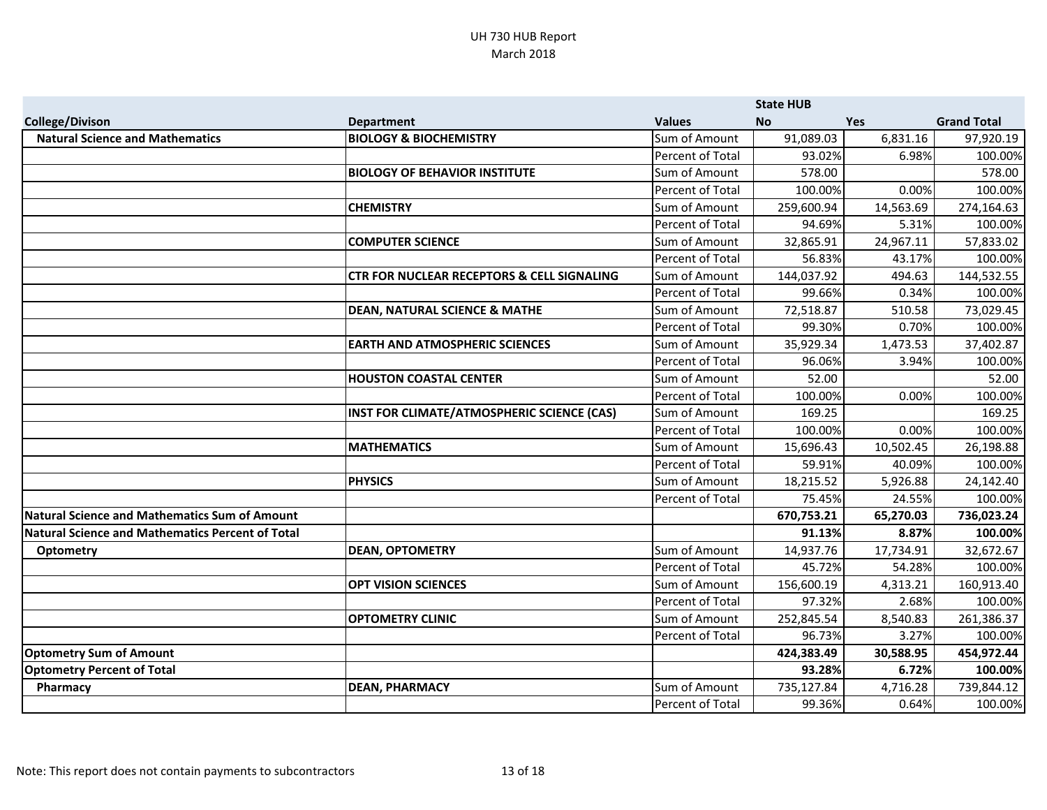|                                                      | <b>State HUB</b>                                      |                         |            |            |                    |
|------------------------------------------------------|-------------------------------------------------------|-------------------------|------------|------------|--------------------|
| <b>College/Divison</b>                               | <b>Department</b>                                     | <b>Values</b>           | <b>No</b>  | <b>Yes</b> | <b>Grand Total</b> |
| <b>Natural Science and Mathematics</b>               | <b>BIOLOGY &amp; BIOCHEMISTRY</b>                     | Sum of Amount           | 91,089.03  | 6,831.16   | 97,920.19          |
|                                                      |                                                       | Percent of Total        | 93.02%     | 6.98%      | 100.00%            |
|                                                      | <b>BIOLOGY OF BEHAVIOR INSTITUTE</b>                  | Sum of Amount           | 578.00     |            | 578.00             |
|                                                      |                                                       | Percent of Total        | 100.00%    | 0.00%      | 100.00%            |
|                                                      | <b>CHEMISTRY</b>                                      | Sum of Amount           | 259,600.94 | 14,563.69  | 274,164.63         |
|                                                      |                                                       | Percent of Total        | 94.69%     | 5.31%      | 100.00%            |
|                                                      | <b>COMPUTER SCIENCE</b>                               | Sum of Amount           | 32,865.91  | 24,967.11  | 57,833.02          |
|                                                      |                                                       | Percent of Total        | 56.83%     | 43.17%     | 100.00%            |
|                                                      | <b>CTR FOR NUCLEAR RECEPTORS &amp; CELL SIGNALING</b> | Sum of Amount           | 144,037.92 | 494.63     | 144,532.55         |
|                                                      |                                                       | Percent of Total        | 99.66%     | 0.34%      | 100.00%            |
|                                                      | <b>DEAN, NATURAL SCIENCE &amp; MATHE</b>              | Sum of Amount           | 72,518.87  | 510.58     | 73,029.45          |
|                                                      |                                                       | Percent of Total        | 99.30%     | 0.70%      | 100.00%            |
|                                                      | <b>EARTH AND ATMOSPHERIC SCIENCES</b>                 | Sum of Amount           | 35,929.34  | 1,473.53   | 37,402.87          |
|                                                      |                                                       | <b>Percent of Total</b> | 96.06%     | 3.94%      | 100.00%            |
|                                                      | <b>HOUSTON COASTAL CENTER</b>                         | Sum of Amount           | 52.00      |            | 52.00              |
|                                                      |                                                       | Percent of Total        | 100.00%    | 0.00%      | 100.00%            |
|                                                      | INST FOR CLIMATE/ATMOSPHERIC SCIENCE (CAS)            | Sum of Amount           | 169.25     |            | 169.25             |
|                                                      |                                                       | Percent of Total        | 100.00%    | 0.00%      | 100.00%            |
|                                                      | <b>MATHEMATICS</b>                                    | Sum of Amount           | 15,696.43  | 10,502.45  | 26,198.88          |
|                                                      |                                                       | Percent of Total        | 59.91%     | 40.09%     | 100.00%            |
|                                                      | <b>PHYSICS</b>                                        | Sum of Amount           | 18,215.52  | 5,926.88   | 24,142.40          |
|                                                      |                                                       | Percent of Total        | 75.45%     | 24.55%     | 100.00%            |
| <b>Natural Science and Mathematics Sum of Amount</b> |                                                       |                         | 670,753.21 | 65,270.03  | 736,023.24         |
| Natural Science and Mathematics Percent of Total     |                                                       |                         | 91.13%     | 8.87%      | 100.00%            |
| Optometry                                            | <b>DEAN, OPTOMETRY</b>                                | Sum of Amount           | 14,937.76  | 17,734.91  | 32,672.67          |
|                                                      |                                                       | Percent of Total        | 45.72%     | 54.28%     | 100.00%            |
|                                                      | <b>OPT VISION SCIENCES</b>                            | Sum of Amount           | 156,600.19 | 4,313.21   | 160,913.40         |
|                                                      |                                                       | Percent of Total        | 97.32%     | 2.68%      | 100.00%            |
|                                                      | <b>OPTOMETRY CLINIC</b>                               | Sum of Amount           | 252,845.54 | 8,540.83   | 261,386.37         |
|                                                      |                                                       | Percent of Total        | 96.73%     | 3.27%      | 100.00%            |
| <b>Optometry Sum of Amount</b>                       |                                                       |                         | 424,383.49 | 30,588.95  | 454,972.44         |
| <b>Optometry Percent of Total</b>                    |                                                       |                         | 93.28%     | 6.72%      | 100.00%            |
| Pharmacy                                             | <b>DEAN, PHARMACY</b>                                 | Sum of Amount           | 735,127.84 | 4,716.28   | 739,844.12         |
|                                                      |                                                       | Percent of Total        | 99.36%     | 0.64%      | 100.00%            |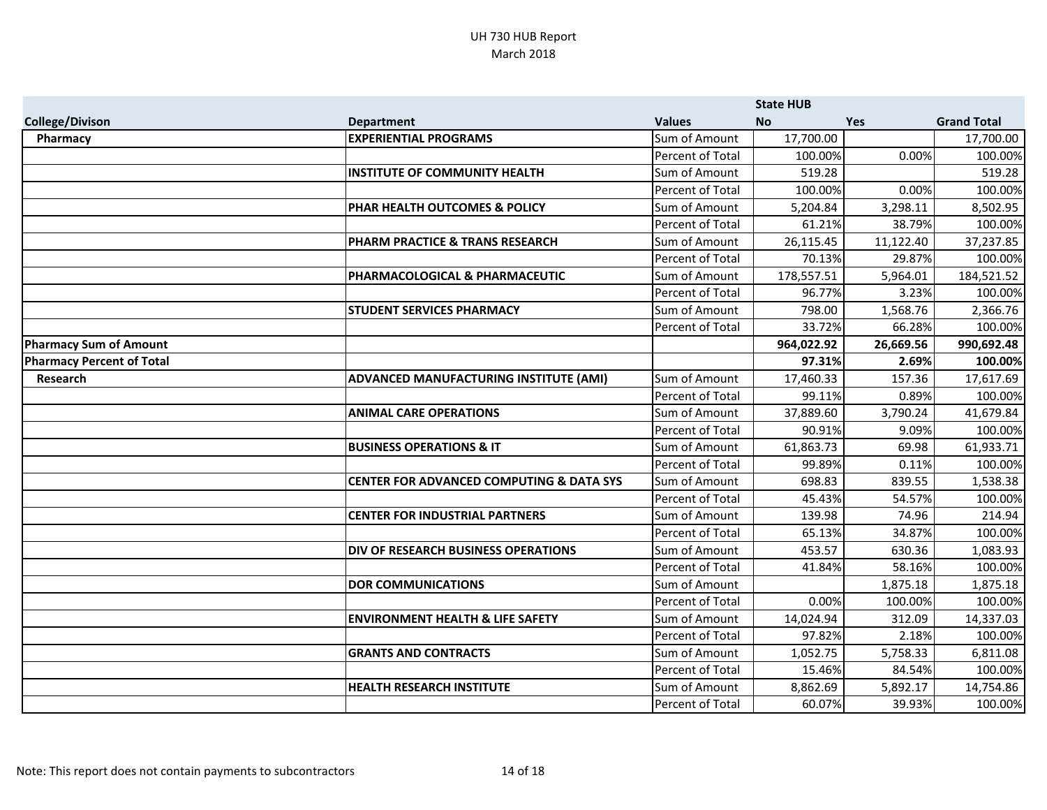|                                  |                                                     |                         | <b>State HUB</b> |            |                    |
|----------------------------------|-----------------------------------------------------|-------------------------|------------------|------------|--------------------|
| <b>College/Divison</b>           | <b>Department</b>                                   | <b>Values</b>           | <b>No</b>        | <b>Yes</b> | <b>Grand Total</b> |
| Pharmacy                         | <b>EXPERIENTIAL PROGRAMS</b>                        | Sum of Amount           | 17,700.00        |            | 17,700.00          |
|                                  |                                                     | Percent of Total        | 100.00%          | 0.00%      | 100.00%            |
|                                  | <b>INSTITUTE OF COMMUNITY HEALTH</b>                | Sum of Amount           | 519.28           |            | 519.28             |
|                                  |                                                     | Percent of Total        | 100.00%          | 0.00%      | 100.00%            |
|                                  | PHAR HEALTH OUTCOMES & POLICY                       | Sum of Amount           | 5,204.84         | 3,298.11   | 8,502.95           |
|                                  |                                                     | <b>Percent of Total</b> | 61.21%           | 38.79%     | 100.00%            |
|                                  | PHARM PRACTICE & TRANS RESEARCH                     | Sum of Amount           | 26,115.45        | 11,122.40  | 37,237.85          |
|                                  |                                                     | Percent of Total        | 70.13%           | 29.87%     | 100.00%            |
|                                  | PHARMACOLOGICAL & PHARMACEUTIC                      | Sum of Amount           | 178,557.51       | 5,964.01   | 184,521.52         |
|                                  |                                                     | Percent of Total        | 96.77%           | 3.23%      | 100.00%            |
|                                  | <b>STUDENT SERVICES PHARMACY</b>                    | Sum of Amount           | 798.00           | 1,568.76   | 2,366.76           |
|                                  |                                                     | Percent of Total        | 33.72%           | 66.28%     | 100.00%            |
| <b>Pharmacy Sum of Amount</b>    |                                                     |                         | 964,022.92       | 26,669.56  | 990,692.48         |
| <b>Pharmacy Percent of Total</b> |                                                     |                         | 97.31%           | 2.69%      | 100.00%            |
| <b>Research</b>                  | ADVANCED MANUFACTURING INSTITUTE (AMI)              | Sum of Amount           | 17,460.33        | 157.36     | 17,617.69          |
|                                  |                                                     | Percent of Total        | 99.11%           | 0.89%      | 100.00%            |
|                                  | <b>ANIMAL CARE OPERATIONS</b>                       | Sum of Amount           | 37,889.60        | 3,790.24   | 41,679.84          |
|                                  |                                                     | Percent of Total        | 90.91%           | 9.09%      | 100.00%            |
|                                  | <b>BUSINESS OPERATIONS &amp; IT</b>                 | Sum of Amount           | 61,863.73        | 69.98      | 61,933.71          |
|                                  |                                                     | Percent of Total        | 99.89%           | 0.11%      | 100.00%            |
|                                  | <b>CENTER FOR ADVANCED COMPUTING &amp; DATA SYS</b> | Sum of Amount           | 698.83           | 839.55     | 1,538.38           |
|                                  |                                                     | Percent of Total        | 45.43%           | 54.57%     | 100.00%            |
|                                  | <b>CENTER FOR INDUSTRIAL PARTNERS</b>               | Sum of Amount           | 139.98           | 74.96      | 214.94             |
|                                  |                                                     | Percent of Total        | 65.13%           | 34.87%     | 100.00%            |
|                                  | DIV OF RESEARCH BUSINESS OPERATIONS                 | Sum of Amount           | 453.57           | 630.36     | 1,083.93           |
|                                  |                                                     | Percent of Total        | 41.84%           | 58.16%     | 100.00%            |
|                                  | <b>DOR COMMUNICATIONS</b>                           | Sum of Amount           |                  | 1,875.18   | 1,875.18           |
|                                  |                                                     | Percent of Total        | 0.00%            | 100.00%    | 100.00%            |
|                                  | <b>ENVIRONMENT HEALTH &amp; LIFE SAFETY</b>         | Sum of Amount           | 14,024.94        | 312.09     | 14,337.03          |
|                                  |                                                     | Percent of Total        | 97.82%           | 2.18%      | 100.00%            |
|                                  | <b>GRANTS AND CONTRACTS</b>                         | Sum of Amount           | 1,052.75         | 5,758.33   | 6,811.08           |
|                                  |                                                     | Percent of Total        | 15.46%           | 84.54%     | 100.00%            |
|                                  | <b>HEALTH RESEARCH INSTITUTE</b>                    | Sum of Amount           | 8,862.69         | 5,892.17   | 14,754.86          |
|                                  |                                                     | Percent of Total        | 60.07%           | 39.93%     | 100.00%            |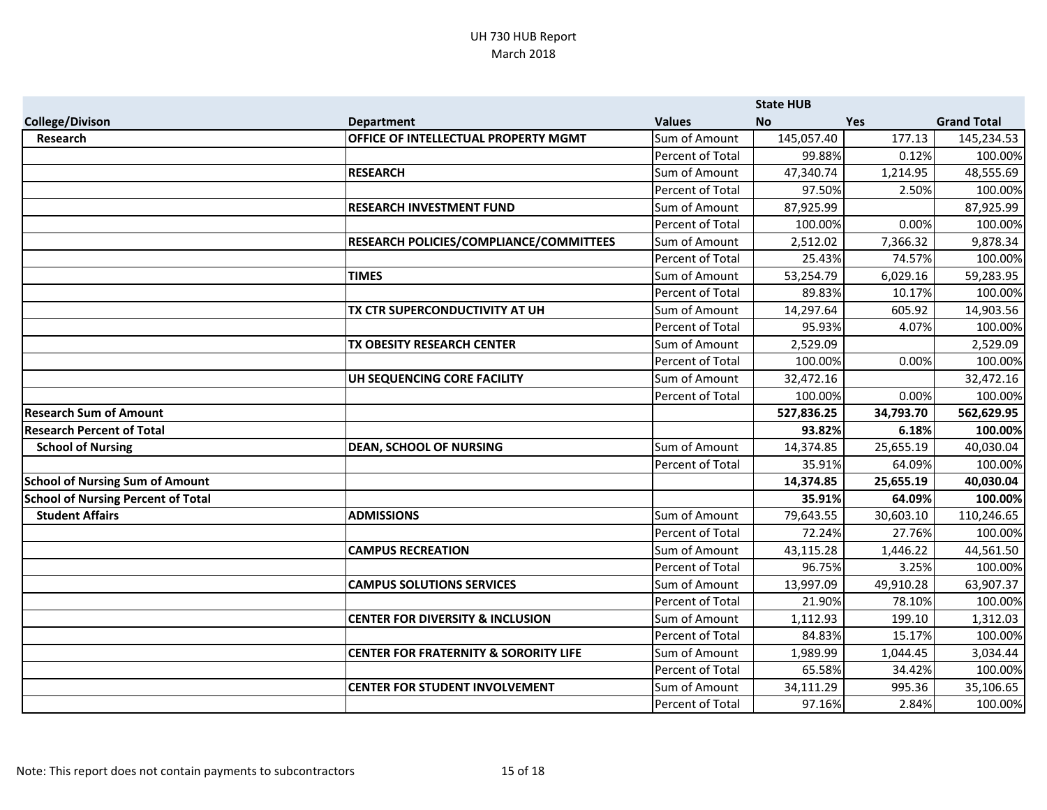|                                           |                                                  |                         | <b>State HUB</b> |            |                    |
|-------------------------------------------|--------------------------------------------------|-------------------------|------------------|------------|--------------------|
| <b>College/Divison</b>                    | <b>Department</b>                                | <b>Values</b>           | <b>No</b>        | <b>Yes</b> | <b>Grand Total</b> |
| <b>Research</b>                           | OFFICE OF INTELLECTUAL PROPERTY MGMT             | Sum of Amount           | 145,057.40       | 177.13     | 145,234.53         |
|                                           |                                                  | Percent of Total        | 99.88%           | 0.12%      | 100.00%            |
|                                           | <b>RESEARCH</b>                                  | Sum of Amount           | 47,340.74        | 1,214.95   | 48,555.69          |
|                                           |                                                  | Percent of Total        | 97.50%           | 2.50%      | 100.00%            |
|                                           | <b>RESEARCH INVESTMENT FUND</b>                  | Sum of Amount           | 87,925.99        |            | 87,925.99          |
|                                           |                                                  | Percent of Total        | 100.00%          | 0.00%      | 100.00%            |
|                                           | RESEARCH POLICIES/COMPLIANCE/COMMITTEES          | Sum of Amount           | 2,512.02         | 7,366.32   | 9,878.34           |
|                                           |                                                  | Percent of Total        | 25.43%           | 74.57%     | 100.00%            |
|                                           | <b>TIMES</b>                                     | Sum of Amount           | 53,254.79        | 6,029.16   | 59,283.95          |
|                                           |                                                  | Percent of Total        | 89.83%           | 10.17%     | 100.00%            |
|                                           | TX CTR SUPERCONDUCTIVITY AT UH                   | Sum of Amount           | 14,297.64        | 605.92     | 14,903.56          |
|                                           |                                                  | <b>Percent of Total</b> | 95.93%           | 4.07%      | 100.00%            |
|                                           | TX OBESITY RESEARCH CENTER                       | Sum of Amount           | 2,529.09         |            | 2,529.09           |
|                                           |                                                  | Percent of Total        | 100.00%          | 0.00%      | 100.00%            |
|                                           | UH SEQUENCING CORE FACILITY                      | Sum of Amount           | 32,472.16        |            | 32,472.16          |
|                                           |                                                  | Percent of Total        | 100.00%          | 0.00%      | 100.00%            |
| <b>Research Sum of Amount</b>             |                                                  |                         | 527,836.25       | 34,793.70  | 562,629.95         |
| <b>Research Percent of Total</b>          |                                                  |                         | 93.82%           | 6.18%      | 100.00%            |
| <b>School of Nursing</b>                  | <b>DEAN, SCHOOL OF NURSING</b>                   | Sum of Amount           | 14,374.85        | 25,655.19  | 40,030.04          |
|                                           |                                                  | Percent of Total        | 35.91%           | 64.09%     | 100.00%            |
| <b>School of Nursing Sum of Amount</b>    |                                                  |                         | 14,374.85        | 25,655.19  | 40,030.04          |
| <b>School of Nursing Percent of Total</b> |                                                  |                         | 35.91%           | 64.09%     | 100.00%            |
| <b>Student Affairs</b>                    | <b>ADMISSIONS</b>                                | Sum of Amount           | 79,643.55        | 30,603.10  | 110,246.65         |
|                                           |                                                  | Percent of Total        | 72.24%           | 27.76%     | 100.00%            |
|                                           | <b>CAMPUS RECREATION</b>                         | Sum of Amount           | 43,115.28        | 1,446.22   | 44,561.50          |
|                                           |                                                  | Percent of Total        | 96.75%           | 3.25%      | 100.00%            |
|                                           | <b>CAMPUS SOLUTIONS SERVICES</b>                 | Sum of Amount           | 13,997.09        | 49,910.28  | 63,907.37          |
|                                           |                                                  | Percent of Total        | 21.90%           | 78.10%     | 100.00%            |
|                                           | <b>CENTER FOR DIVERSITY &amp; INCLUSION</b>      | Sum of Amount           | 1,112.93         | 199.10     | 1,312.03           |
|                                           |                                                  | Percent of Total        | 84.83%           | 15.17%     | 100.00%            |
|                                           | <b>CENTER FOR FRATERNITY &amp; SORORITY LIFE</b> | Sum of Amount           | 1,989.99         | 1,044.45   | 3,034.44           |
|                                           |                                                  | Percent of Total        | 65.58%           | 34.42%     | 100.00%            |
|                                           | <b>CENTER FOR STUDENT INVOLVEMENT</b>            | Sum of Amount           | 34,111.29        | 995.36     | 35,106.65          |
|                                           |                                                  | Percent of Total        | 97.16%           | 2.84%      | 100.00%            |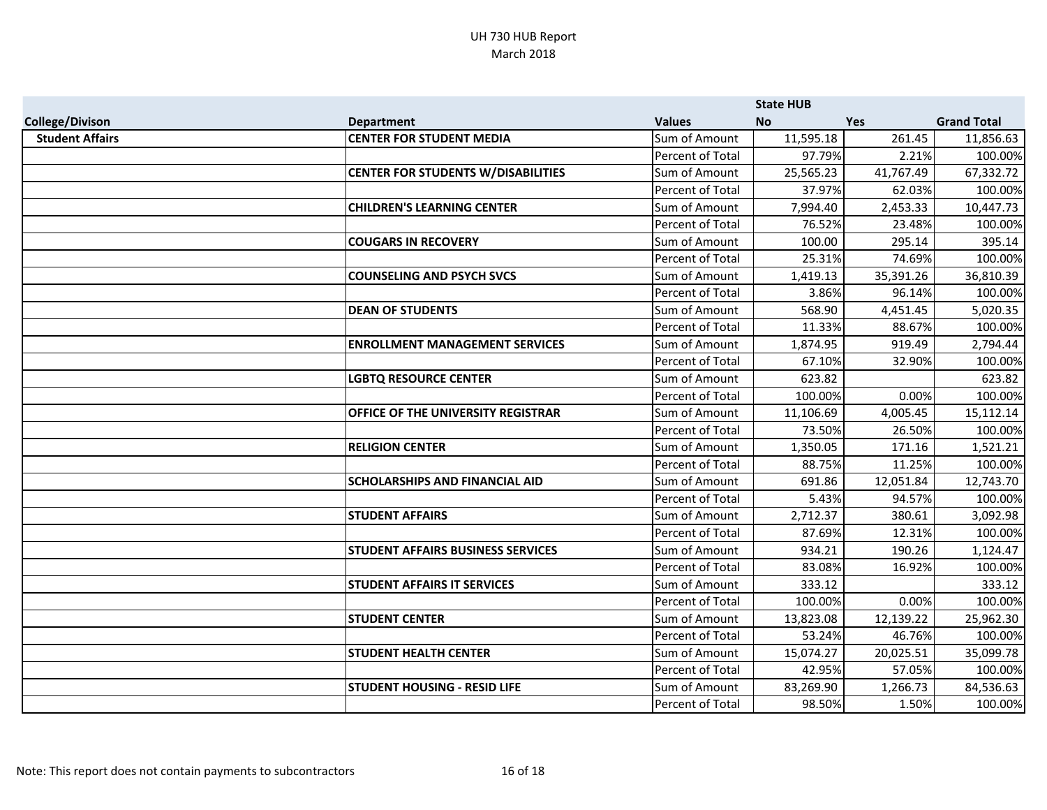|                        |                                           |                         | <b>State HUB</b> |            |                    |
|------------------------|-------------------------------------------|-------------------------|------------------|------------|--------------------|
| <b>College/Divison</b> | <b>Department</b>                         | <b>Values</b>           | <b>No</b>        | <b>Yes</b> | <b>Grand Total</b> |
| <b>Student Affairs</b> | <b>CENTER FOR STUDENT MEDIA</b>           | Sum of Amount           | 11,595.18        | 261.45     | 11,856.63          |
|                        |                                           | Percent of Total        | 97.79%           | 2.21%      | 100.00%            |
|                        | <b>CENTER FOR STUDENTS W/DISABILITIES</b> | Sum of Amount           | 25,565.23        | 41,767.49  | 67,332.72          |
|                        |                                           | Percent of Total        | 37.97%           | 62.03%     | 100.00%            |
|                        | <b>CHILDREN'S LEARNING CENTER</b>         | Sum of Amount           | 7,994.40         | 2,453.33   | 10,447.73          |
|                        |                                           | Percent of Total        | 76.52%           | 23.48%     | 100.00%            |
|                        | <b>COUGARS IN RECOVERY</b>                | Sum of Amount           | 100.00           | 295.14     | 395.14             |
|                        |                                           | Percent of Total        | 25.31%           | 74.69%     | 100.00%            |
|                        | <b>COUNSELING AND PSYCH SVCS</b>          | Sum of Amount           | 1,419.13         | 35,391.26  | 36,810.39          |
|                        |                                           | Percent of Total        | 3.86%            | 96.14%     | 100.00%            |
|                        | <b>DEAN OF STUDENTS</b>                   | Sum of Amount           | 568.90           | 4,451.45   | 5,020.35           |
|                        |                                           | Percent of Total        | 11.33%           | 88.67%     | 100.00%            |
|                        | <b>ENROLLMENT MANAGEMENT SERVICES</b>     | Sum of Amount           | 1,874.95         | 919.49     | 2,794.44           |
|                        |                                           | Percent of Total        | 67.10%           | 32.90%     | 100.00%            |
|                        | <b>LGBTQ RESOURCE CENTER</b>              | Sum of Amount           | 623.82           |            | 623.82             |
|                        |                                           | Percent of Total        | 100.00%          | 0.00%      | 100.00%            |
|                        | OFFICE OF THE UNIVERSITY REGISTRAR        | Sum of Amount           | 11,106.69        | 4,005.45   | 15,112.14          |
|                        |                                           | Percent of Total        | 73.50%           | 26.50%     | 100.00%            |
|                        | <b>RELIGION CENTER</b>                    | Sum of Amount           | 1,350.05         | 171.16     | 1,521.21           |
|                        |                                           | Percent of Total        | 88.75%           | 11.25%     | 100.00%            |
|                        | <b>SCHOLARSHIPS AND FINANCIAL AID</b>     | Sum of Amount           | 691.86           | 12,051.84  | 12,743.70          |
|                        |                                           | Percent of Total        | 5.43%            | 94.57%     | 100.00%            |
|                        | <b>STUDENT AFFAIRS</b>                    | Sum of Amount           | 2,712.37         | 380.61     | 3,092.98           |
|                        |                                           | Percent of Total        | 87.69%           | 12.31%     | 100.00%            |
|                        | <b>STUDENT AFFAIRS BUSINESS SERVICES</b>  | Sum of Amount           | 934.21           | 190.26     | 1,124.47           |
|                        |                                           | Percent of Total        | 83.08%           | 16.92%     | 100.00%            |
|                        | <b>STUDENT AFFAIRS IT SERVICES</b>        | Sum of Amount           | 333.12           |            | 333.12             |
|                        |                                           | <b>Percent of Total</b> | 100.00%          | 0.00%      | 100.00%            |
|                        | <b>STUDENT CENTER</b>                     | Sum of Amount           | 13,823.08        | 12,139.22  | 25,962.30          |
|                        |                                           | Percent of Total        | 53.24%           | 46.76%     | 100.00%            |
|                        | <b>STUDENT HEALTH CENTER</b>              | Sum of Amount           | 15,074.27        | 20,025.51  | 35,099.78          |
|                        |                                           | Percent of Total        | 42.95%           | 57.05%     | 100.00%            |
|                        | <b>STUDENT HOUSING - RESID LIFE</b>       | Sum of Amount           | 83,269.90        | 1,266.73   | 84,536.63          |
|                        |                                           | Percent of Total        | 98.50%           | 1.50%      | 100.00%            |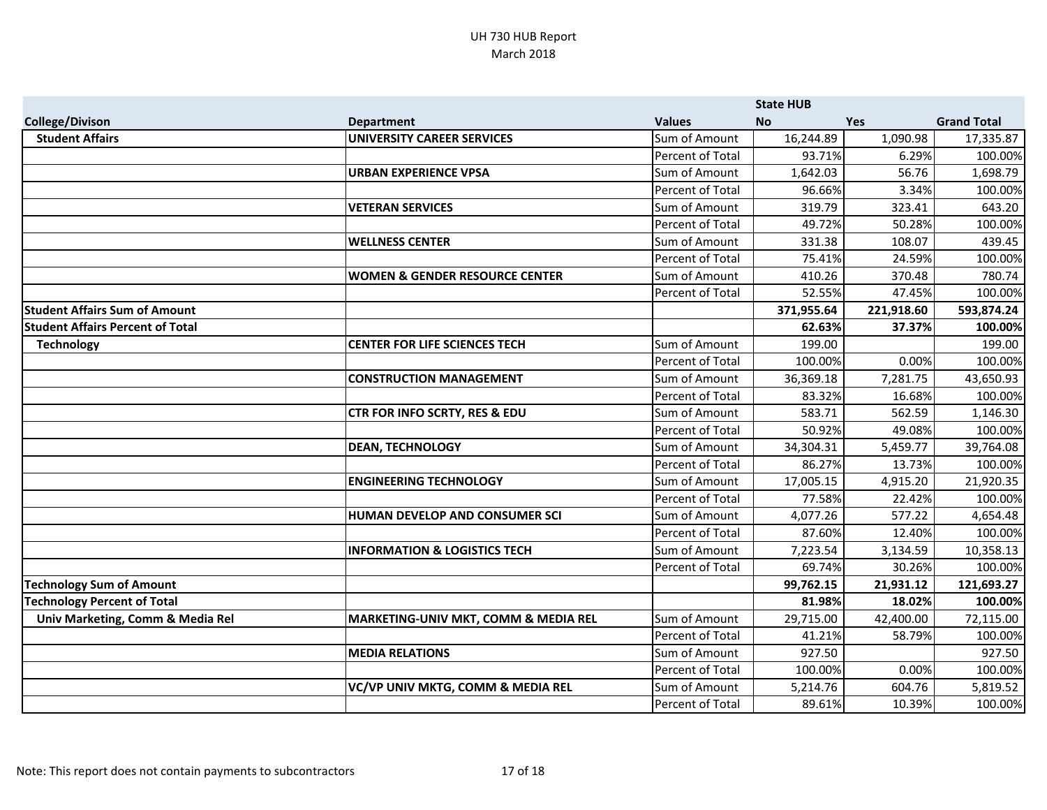|                                         |                                           |                  | <b>State HUB</b> |            |                    |
|-----------------------------------------|-------------------------------------------|------------------|------------------|------------|--------------------|
| <b>College/Divison</b>                  | <b>Department</b>                         | <b>Values</b>    | <b>No</b>        | <b>Yes</b> | <b>Grand Total</b> |
| <b>Student Affairs</b>                  | <b>UNIVERSITY CAREER SERVICES</b>         | Sum of Amount    | 16,244.89        | 1,090.98   | 17,335.87          |
|                                         |                                           | Percent of Total | 93.71%           | 6.29%      | 100.00%            |
|                                         | <b>URBAN EXPERIENCE VPSA</b>              | Sum of Amount    | 1,642.03         | 56.76      | 1,698.79           |
|                                         |                                           | Percent of Total | 96.66%           | 3.34%      | 100.00%            |
|                                         | <b>VETERAN SERVICES</b>                   | Sum of Amount    | 319.79           | 323.41     | 643.20             |
|                                         |                                           | Percent of Total | 49.72%           | 50.28%     | 100.00%            |
|                                         | <b>WELLNESS CENTER</b>                    | Sum of Amount    | 331.38           | 108.07     | 439.45             |
|                                         |                                           | Percent of Total | 75.41%           | 24.59%     | 100.00%            |
|                                         | <b>WOMEN &amp; GENDER RESOURCE CENTER</b> | Sum of Amount    | 410.26           | 370.48     | 780.74             |
|                                         |                                           | Percent of Total | 52.55%           | 47.45%     | 100.00%            |
| <b>Student Affairs Sum of Amount</b>    |                                           |                  | 371,955.64       | 221,918.60 | 593,874.24         |
| <b>Student Affairs Percent of Total</b> |                                           |                  | 62.63%           | 37.37%     | 100.00%            |
| <b>Technology</b>                       | <b>CENTER FOR LIFE SCIENCES TECH</b>      | Sum of Amount    | 199.00           |            | 199.00             |
|                                         |                                           | Percent of Total | 100.00%          | 0.00%      | 100.00%            |
|                                         | <b>CONSTRUCTION MANAGEMENT</b>            | Sum of Amount    | 36,369.18        | 7,281.75   | 43,650.93          |
|                                         |                                           | Percent of Total | 83.32%           | 16.68%     | 100.00%            |
|                                         | CTR FOR INFO SCRTY, RES & EDU             | Sum of Amount    | 583.71           | 562.59     | 1,146.30           |
|                                         |                                           | Percent of Total | 50.92%           | 49.08%     | 100.00%            |
|                                         | <b>DEAN, TECHNOLOGY</b>                   | Sum of Amount    | 34,304.31        | 5,459.77   | 39,764.08          |
|                                         |                                           | Percent of Total | 86.27%           | 13.73%     | 100.00%            |
|                                         | <b>ENGINEERING TECHNOLOGY</b>             | Sum of Amount    | 17,005.15        | 4,915.20   | 21,920.35          |
|                                         |                                           | Percent of Total | 77.58%           | 22.42%     | 100.00%            |
|                                         | HUMAN DEVELOP AND CONSUMER SCI            | Sum of Amount    | 4,077.26         | 577.22     | 4,654.48           |
|                                         |                                           | Percent of Total | 87.60%           | 12.40%     | 100.00%            |
|                                         | <b>INFORMATION &amp; LOGISTICS TECH</b>   | Sum of Amount    | 7,223.54         | 3,134.59   | 10,358.13          |
|                                         |                                           | Percent of Total | 69.74%           | 30.26%     | 100.00%            |
| <b>Technology Sum of Amount</b>         |                                           |                  | 99,762.15        | 21,931.12  | 121,693.27         |
| <b>Technology Percent of Total</b>      |                                           |                  | 81.98%           | 18.02%     | 100.00%            |
| Univ Marketing, Comm & Media Rel        | MARKETING-UNIV MKT, COMM & MEDIA REL      | Sum of Amount    | 29,715.00        | 42,400.00  | 72,115.00          |
|                                         |                                           | Percent of Total | 41.21%           | 58.79%     | 100.00%            |
|                                         | <b>MEDIA RELATIONS</b>                    | Sum of Amount    | 927.50           |            | 927.50             |
|                                         |                                           | Percent of Total | 100.00%          | 0.00%      | 100.00%            |
|                                         | VC/VP UNIV MKTG, COMM & MEDIA REL         | Sum of Amount    | 5,214.76         | 604.76     | 5,819.52           |
|                                         |                                           | Percent of Total | 89.61%           | 10.39%     | 100.00%            |